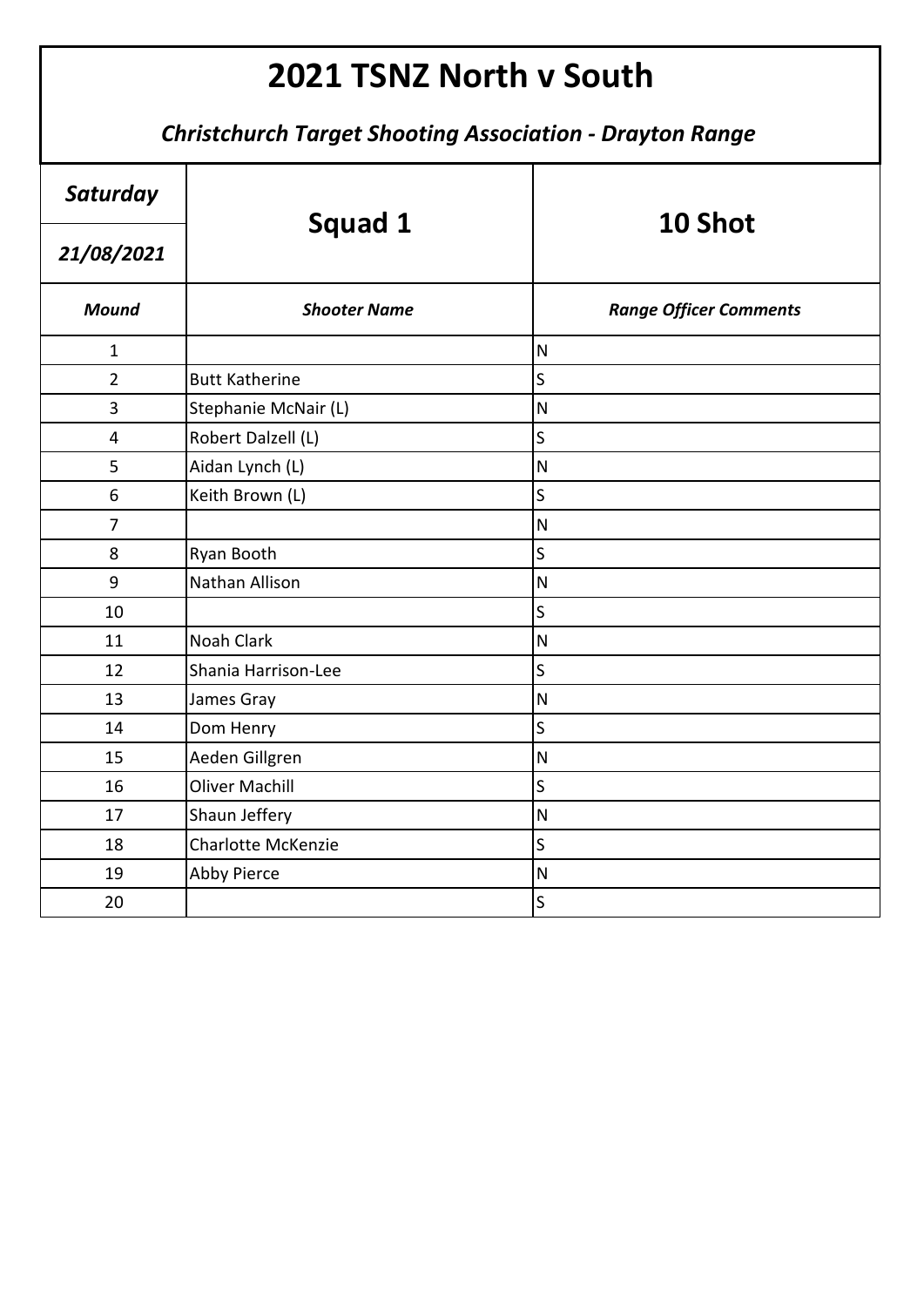| Saturday       |                           | 10 Shot                       |
|----------------|---------------------------|-------------------------------|
| 21/08/2021     | Squad 1                   |                               |
| <b>Mound</b>   | <b>Shooter Name</b>       | <b>Range Officer Comments</b> |
| $\mathbf{1}$   |                           | $\overline{\mathsf{N}}$       |
| $\overline{2}$ | <b>Butt Katherine</b>     | $\mathsf{S}$                  |
| 3              | Stephanie McNair (L)      | $\overline{\mathsf{N}}$       |
| 4              | Robert Dalzell (L)        | S                             |
| 5              | Aidan Lynch (L)           | ${\sf N}$                     |
| 6              | Keith Brown (L)           | S                             |
| $\overline{7}$ |                           | $\overline{\mathsf{N}}$       |
| 8              | Ryan Booth                | $\mathsf{S}$                  |
| 9              | Nathan Allison            | $\mathsf{N}$                  |
| 10             |                           | S                             |
| 11             | Noah Clark                | $\overline{\mathsf{N}}$       |
| 12             | Shania Harrison-Lee       | S                             |
| 13             | James Gray                | ${\sf N}$                     |
| 14             | Dom Henry                 | $\mathsf{S}$                  |
| 15             | Aeden Gillgren            | $\overline{\mathsf{N}}$       |
| 16             | <b>Oliver Machill</b>     | S                             |
| 17             | Shaun Jeffery             | ${\sf N}$                     |
| 18             | <b>Charlotte McKenzie</b> | $\overline{\mathsf{S}}$       |
| 19             | <b>Abby Pierce</b>        | $\overline{\mathsf{N}}$       |
| 20             |                           | S                             |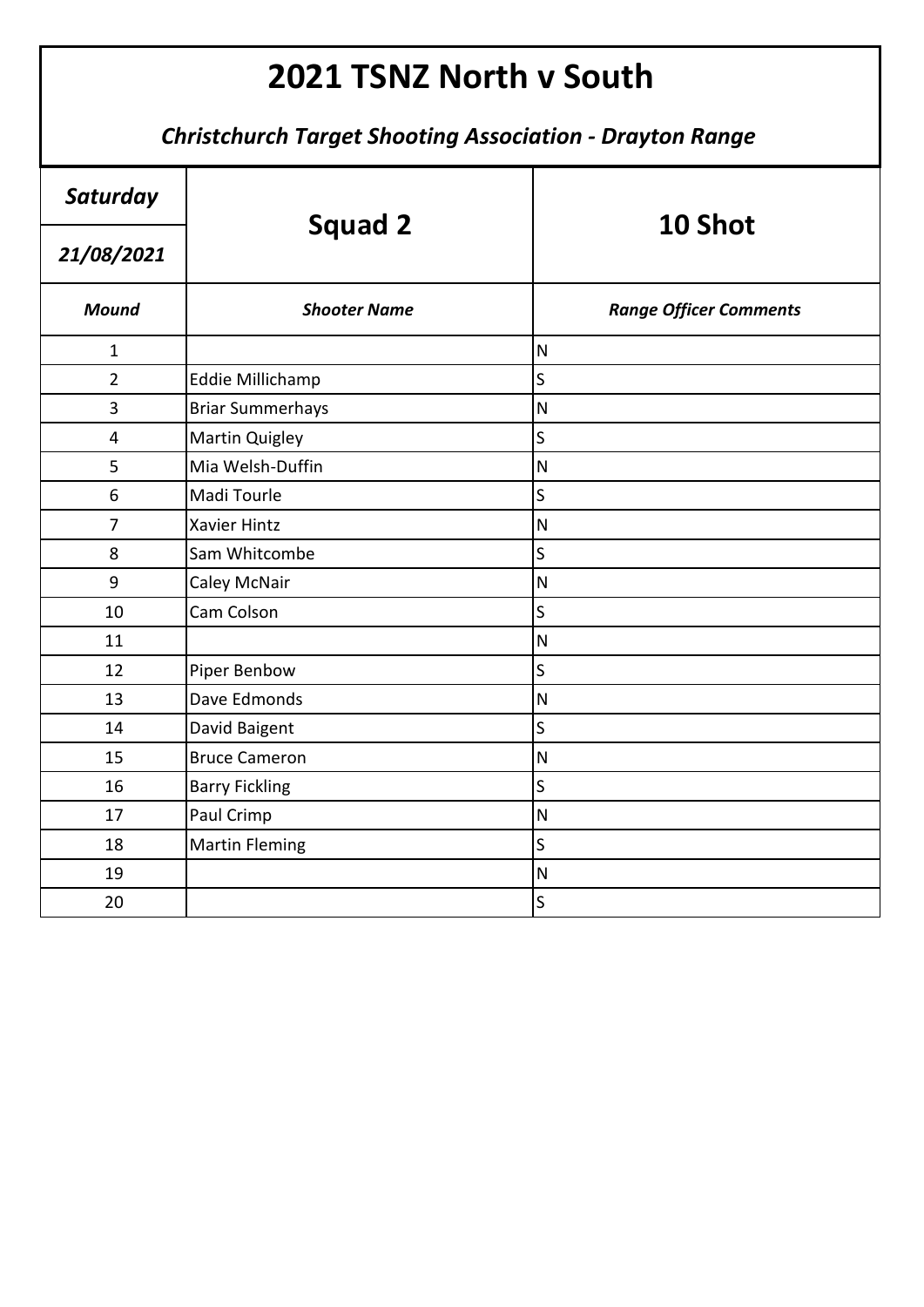| Saturday                | <b>Squad 2</b>          | 10 Shot                       |
|-------------------------|-------------------------|-------------------------------|
| 21/08/2021              |                         |                               |
| <b>Mound</b>            | <b>Shooter Name</b>     | <b>Range Officer Comments</b> |
| $\mathbf{1}$            |                         | $\overline{\mathsf{N}}$       |
| $\overline{2}$          | Eddie Millichamp        | S                             |
| 3                       | <b>Briar Summerhays</b> | $\overline{\mathsf{N}}$       |
| $\overline{\mathbf{4}}$ | <b>Martin Quigley</b>   | $\overline{\mathsf{S}}$       |
| 5                       | Mia Welsh-Duffin        | $\overline{\mathsf{N}}$       |
| 6                       | Madi Tourle             | $\overline{\mathsf{S}}$       |
| $\overline{7}$          | <b>Xavier Hintz</b>     | $\overline{\mathsf{N}}$       |
| 8                       | Sam Whitcombe           | S                             |
| 9                       | <b>Caley McNair</b>     | $\overline{\mathsf{N}}$       |
| 10                      | Cam Colson              | $\overline{\mathsf{S}}$       |
| 11                      |                         | $\overline{\mathsf{N}}$       |
| 12                      | Piper Benbow            | $\overline{\mathsf{S}}$       |
| 13                      | Dave Edmonds            | $\overline{\mathsf{N}}$       |
| 14                      | David Baigent           | $\mathsf{S}$                  |
| 15                      | <b>Bruce Cameron</b>    | $\overline{\mathsf{N}}$       |
| 16                      | <b>Barry Fickling</b>   | S                             |
| 17                      | Paul Crimp              | $\overline{\mathsf{N}}$       |
| 18                      | <b>Martin Fleming</b>   | $\mathsf{S}$                  |
| 19                      |                         | $\overline{\mathsf{N}}$       |
| 20                      |                         | $\overline{\mathsf{S}}$       |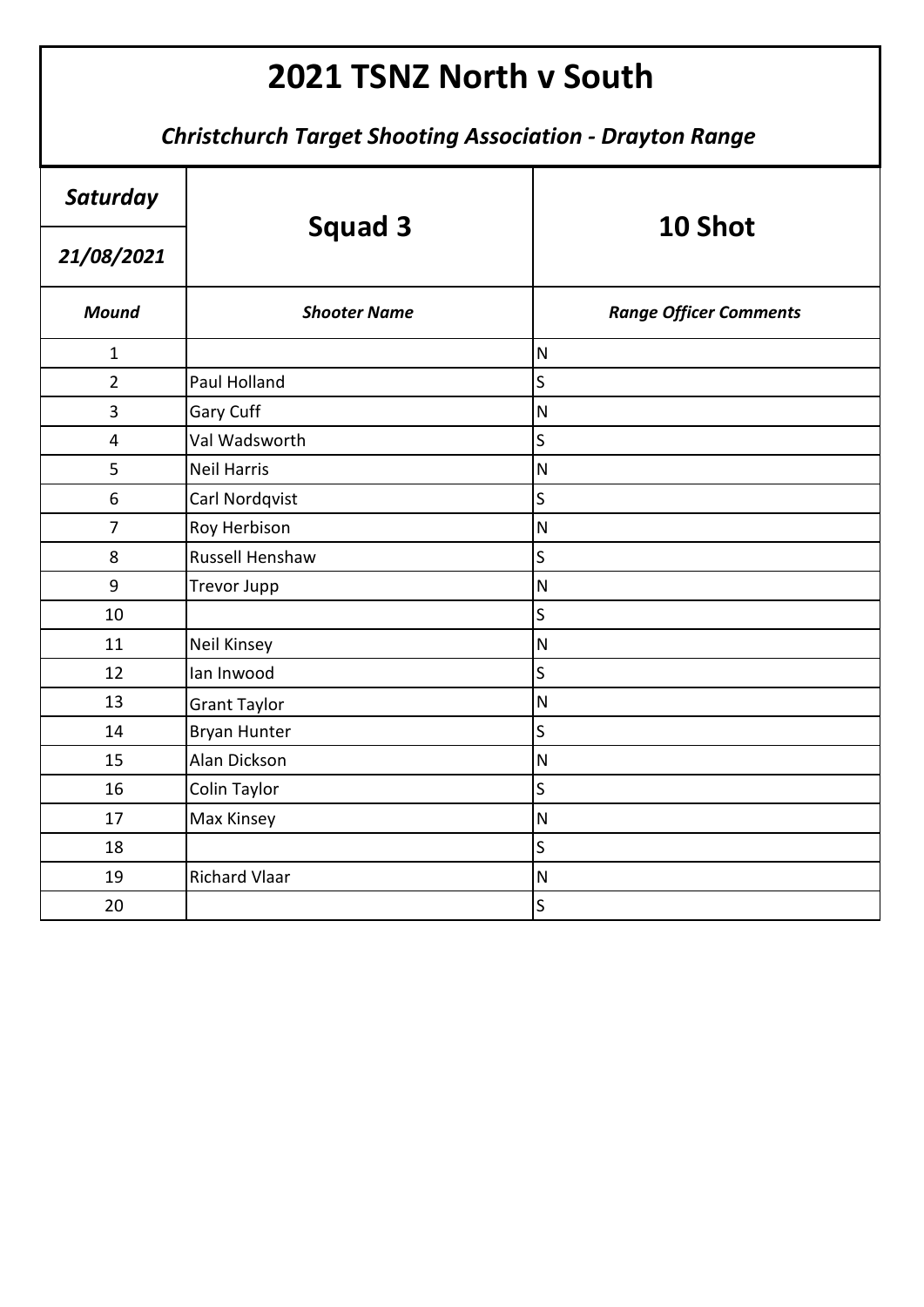| Saturday       | <b>Squad 3</b>       | 10 Shot                       |
|----------------|----------------------|-------------------------------|
| 21/08/2021     |                      |                               |
| <b>Mound</b>   | <b>Shooter Name</b>  | <b>Range Officer Comments</b> |
| $\mathbf{1}$   |                      | $\mathsf{N}$                  |
| $\overline{2}$ | Paul Holland         | $\mathsf S$                   |
| 3              | Gary Cuff            | $\overline{\mathsf{N}}$       |
| 4              | Val Wadsworth        | S                             |
| 5              | <b>Neil Harris</b>   | $\overline{\mathsf{N}}$       |
| 6              | Carl Nordqvist       | $\sf S$                       |
| $\overline{7}$ | Roy Herbison         | $\overline{\mathsf{N}}$       |
| 8              | Russell Henshaw      | S                             |
| 9              | <b>Trevor Jupp</b>   | $\overline{\mathsf{N}}$       |
| 10             |                      | S                             |
| 11             | <b>Neil Kinsey</b>   | $\overline{\mathsf{N}}$       |
| 12             | lan Inwood           | $\mathsf S$                   |
| 13             | <b>Grant Taylor</b>  | $\overline{\mathsf{N}}$       |
| 14             | <b>Bryan Hunter</b>  | $\overline{\mathsf{S}}$       |
| 15             | Alan Dickson         | $\overline{\mathsf{N}}$       |
| 16             | Colin Taylor         | S                             |
| 17             | Max Kinsey           | $\overline{\mathsf{N}}$       |
| 18             |                      | S                             |
| 19             | <b>Richard Vlaar</b> | $\mathsf{N}$                  |
| 20             |                      | $\mathsf S$                   |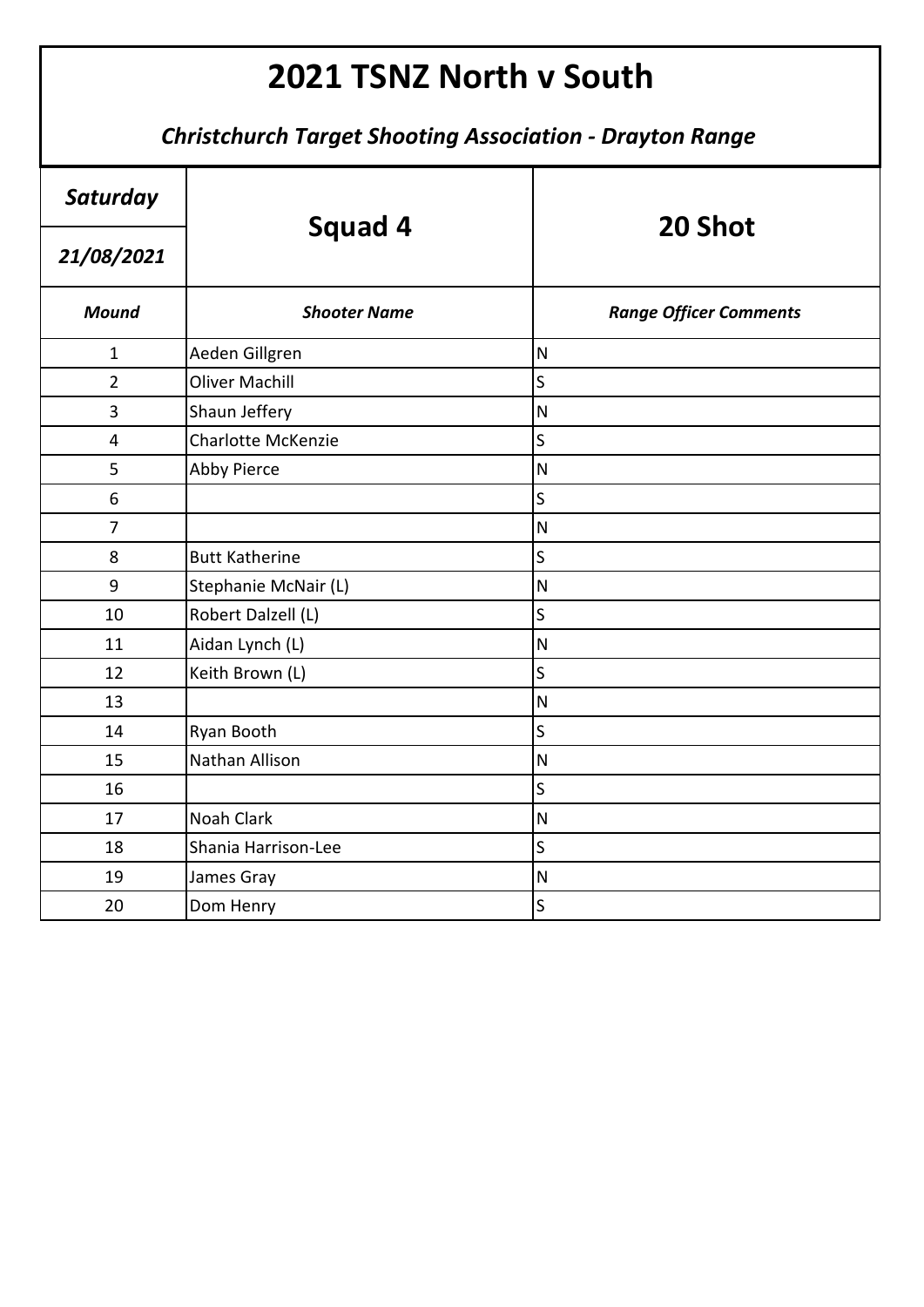| Saturday                | <b>Squad 4</b>            | 20 Shot                       |
|-------------------------|---------------------------|-------------------------------|
| 21/08/2021              |                           |                               |
| <b>Mound</b>            | <b>Shooter Name</b>       | <b>Range Officer Comments</b> |
| $\mathbf{1}$            | Aeden Gillgren            | $\overline{\mathsf{N}}$       |
| $\overline{2}$          | <b>Oliver Machill</b>     | S                             |
| 3                       | Shaun Jeffery             | $\overline{\mathsf{N}}$       |
| $\overline{\mathbf{4}}$ | <b>Charlotte McKenzie</b> | $\mathsf{S}$                  |
| 5                       | <b>Abby Pierce</b>        | $\overline{\mathsf{N}}$       |
| 6                       |                           | S                             |
| $\overline{7}$          |                           | $\overline{\mathsf{N}}$       |
| 8                       | <b>Butt Katherine</b>     | S                             |
| 9                       | Stephanie McNair (L)      | $\mathsf{N}$                  |
| 10                      | Robert Dalzell (L)        | S                             |
| 11                      | Aidan Lynch (L)           | $\overline{\mathsf{N}}$       |
| 12                      | Keith Brown (L)           | S                             |
| 13                      |                           | $\overline{\mathsf{N}}$       |
| 14                      | Ryan Booth                | $\overline{\mathsf{S}}$       |
| 15                      | Nathan Allison            | $\overline{\mathsf{N}}$       |
| 16                      |                           | S                             |
| 17                      | Noah Clark                | $\mathsf{N}$                  |
| 18                      | Shania Harrison-Lee       | S                             |
| 19                      | James Gray                | $\overline{\mathsf{N}}$       |
| 20                      | Dom Henry                 | S                             |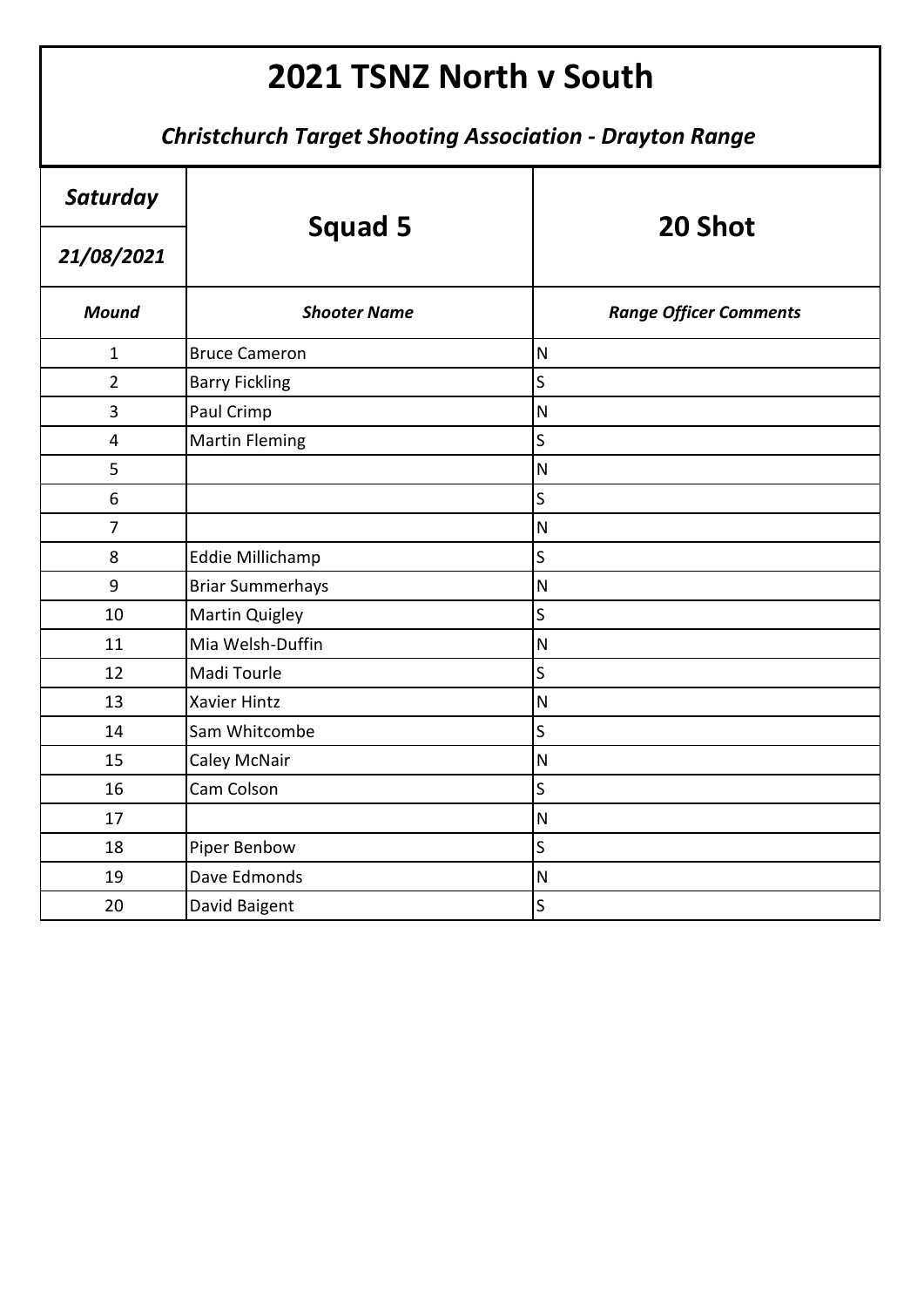| Saturday       | <b>Squad 5</b>          | 20 Shot                       |
|----------------|-------------------------|-------------------------------|
| 21/08/2021     |                         |                               |
| <b>Mound</b>   | <b>Shooter Name</b>     | <b>Range Officer Comments</b> |
| $\mathbf{1}$   | <b>Bruce Cameron</b>    | N                             |
| $\overline{2}$ | <b>Barry Fickling</b>   | $\sf S$                       |
| 3              | Paul Crimp              | $\overline{\mathsf{N}}$       |
| 4              | <b>Martin Fleming</b>   | S                             |
| 5              |                         | $\mathsf{N}$                  |
| 6              |                         | S                             |
| $\overline{7}$ |                         | $\overline{\mathsf{N}}$       |
| 8              | Eddie Millichamp        | S                             |
| 9              | <b>Briar Summerhays</b> | $\overline{\mathsf{N}}$       |
| 10             | Martin Quigley          | S                             |
| 11             | Mia Welsh-Duffin        | $\overline{\mathsf{N}}$       |
| 12             | Madi Tourle             | S                             |
| 13             | <b>Xavier Hintz</b>     | $\overline{\mathsf{N}}$       |
| 14             | Sam Whitcombe           | S                             |
| 15             | Caley McNair            | $\overline{\mathsf{N}}$       |
| 16             | Cam Colson              | S                             |
| 17             |                         | $\overline{\mathsf{N}}$       |
| 18             | Piper Benbow            | S                             |
| 19             | Dave Edmonds            | $\overline{\mathsf{N}}$       |
| 20             | David Baigent           | $\sf S$                       |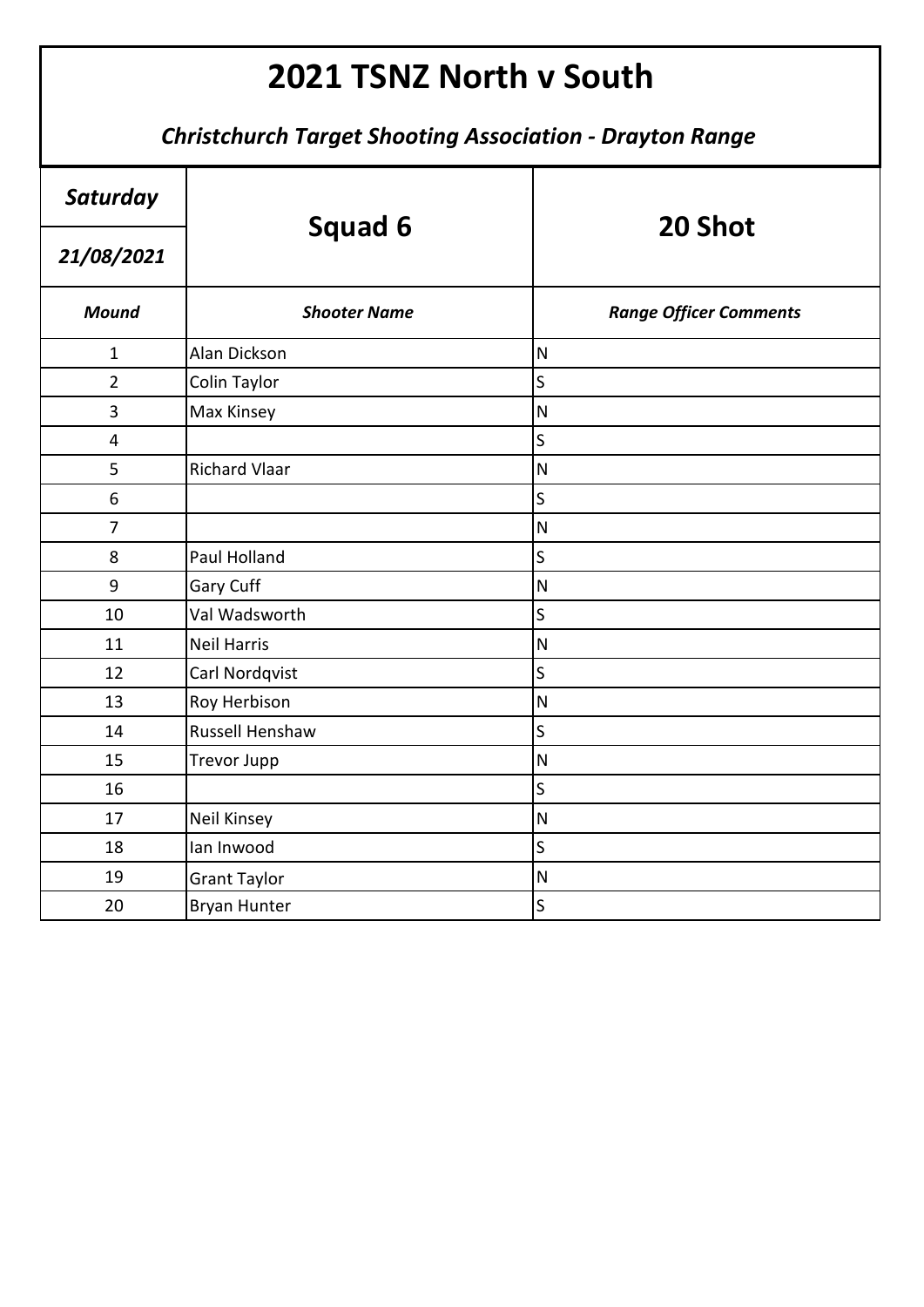| Saturday       | <b>Squad 6</b>       | 20 Shot                       |
|----------------|----------------------|-------------------------------|
| 21/08/2021     |                      |                               |
| <b>Mound</b>   | <b>Shooter Name</b>  | <b>Range Officer Comments</b> |
| $\mathbf{1}$   | Alan Dickson         | $\mathsf{N}$                  |
| $\overline{2}$ | Colin Taylor         | $\overline{\mathsf{S}}$       |
| 3              | Max Kinsey           | $\overline{\mathsf{N}}$       |
| 4              |                      | S                             |
| 5              | <b>Richard Vlaar</b> | ${\sf N}$                     |
| 6              |                      | $\mathsf{S}$                  |
| $\overline{7}$ |                      | $\overline{\mathsf{N}}$       |
| 8              | Paul Holland         | S                             |
| 9              | Gary Cuff            | $\mathsf{N}$                  |
| 10             | Val Wadsworth        | $\overline{\mathsf{S}}$       |
| 11             | <b>Neil Harris</b>   | $\mathsf{N}$                  |
| 12             | Carl Nordqvist       | $\overline{\mathsf{S}}$       |
| 13             | Roy Herbison         | $\mathsf{N}$                  |
| 14             | Russell Henshaw      | $\overline{\mathsf{S}}$       |
| 15             | <b>Trevor Jupp</b>   | $\overline{\mathsf{N}}$       |
| 16             |                      | $\mathsf{S}$                  |
| 17             | Neil Kinsey          | $\mathsf{N}$                  |
| 18             | lan Inwood           | $\overline{\mathsf{S}}$       |
| 19             | <b>Grant Taylor</b>  | $\mathsf{N}$                  |
| 20             | <b>Bryan Hunter</b>  | $\mathsf S$                   |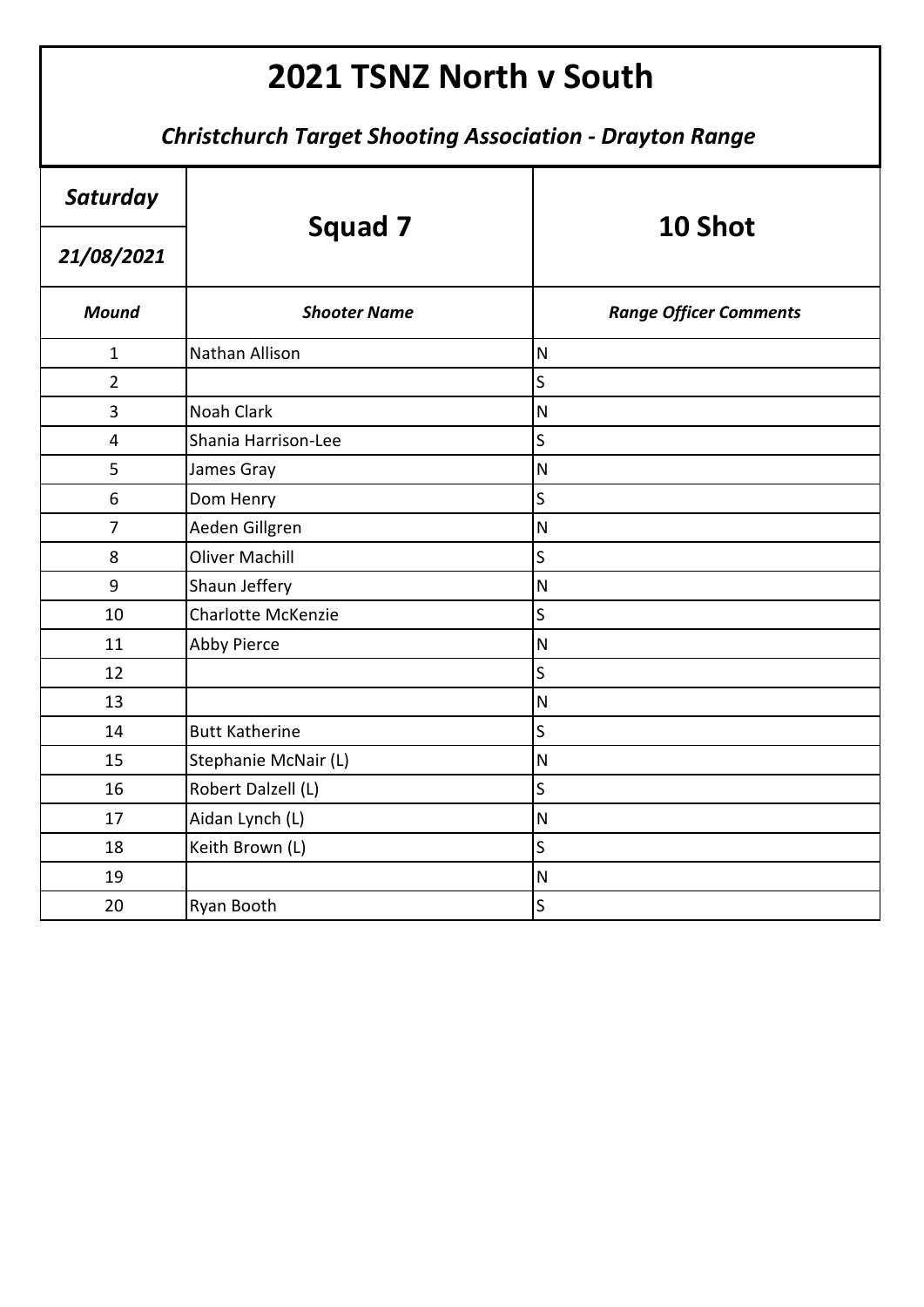| Saturday                | Squad 7                   | 10 Shot                       |
|-------------------------|---------------------------|-------------------------------|
| 21/08/2021              |                           |                               |
| <b>Mound</b>            | <b>Shooter Name</b>       | <b>Range Officer Comments</b> |
| $\mathbf{1}$            | Nathan Allison            | $\overline{\mathsf{N}}$       |
| $\overline{2}$          |                           | S                             |
| 3                       | <b>Noah Clark</b>         | $\overline{\mathsf{N}}$       |
| $\overline{\mathbf{4}}$ | Shania Harrison-Lee       | S                             |
| 5                       | James Gray                | $\overline{\mathsf{N}}$       |
| 6                       | Dom Henry                 | $\overline{\mathsf{S}}$       |
| $\overline{7}$          | Aeden Gillgren            | $\overline{\mathsf{N}}$       |
| 8                       | <b>Oliver Machill</b>     | S                             |
| 9                       | Shaun Jeffery             | $\overline{\mathsf{N}}$       |
| 10                      | <b>Charlotte McKenzie</b> | $\overline{\mathsf{S}}$       |
| 11                      | <b>Abby Pierce</b>        | $\overline{\mathsf{N}}$       |
| 12                      |                           | $\overline{\mathsf{S}}$       |
| 13                      |                           | $\overline{\mathsf{N}}$       |
| 14                      | <b>Butt Katherine</b>     | $\mathsf{S}$                  |
| 15                      | Stephanie McNair (L)      | N                             |
| 16                      | Robert Dalzell (L)        | S                             |
| 17                      | Aidan Lynch (L)           | $\overline{\mathsf{N}}$       |
| 18                      | Keith Brown (L)           | S                             |
| 19                      |                           | $\mathsf{N}$                  |
| 20                      | Ryan Booth                | $\mathsf S$                   |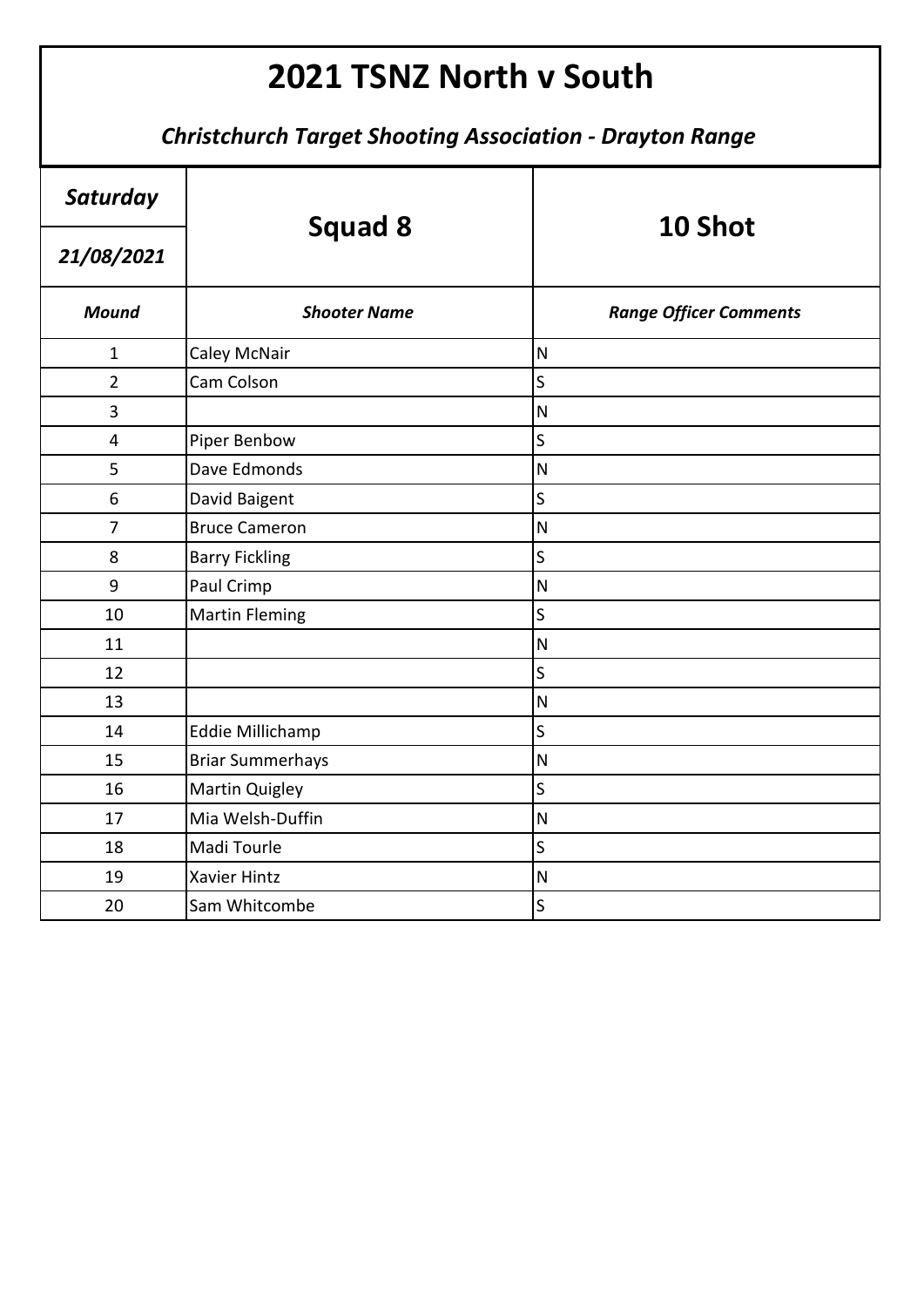| Saturday       | <b>Squad 8</b>          | 10 Shot                       |
|----------------|-------------------------|-------------------------------|
| 21/08/2021     |                         |                               |
| <b>Mound</b>   | <b>Shooter Name</b>     | <b>Range Officer Comments</b> |
| $\mathbf{1}$   | Caley McNair            | $\overline{\mathsf{N}}$       |
| $\overline{2}$ | Cam Colson              | S                             |
| 3              |                         | $\overline{\mathsf{N}}$       |
| $\overline{4}$ | Piper Benbow            | S                             |
| 5              | Dave Edmonds            | $\mathsf{N}$                  |
| 6              | David Baigent           | S                             |
| $\overline{7}$ | <b>Bruce Cameron</b>    | $\overline{\mathsf{N}}$       |
| 8              | <b>Barry Fickling</b>   | S                             |
| 9              | Paul Crimp              | $\overline{\mathsf{N}}$       |
| 10             | <b>Martin Fleming</b>   | S                             |
| 11             |                         | $\overline{\mathsf{N}}$       |
| 12             |                         | S                             |
| 13             |                         | $\mathsf{N}$                  |
| 14             | Eddie Millichamp        | S                             |
| 15             | <b>Briar Summerhays</b> | $\overline{\mathsf{N}}$       |
| 16             | <b>Martin Quigley</b>   | S                             |
| 17             | Mia Welsh-Duffin        | $\overline{\mathsf{N}}$       |
| 18             | Madi Tourle             | $\overline{\mathsf{S}}$       |
| 19             | <b>Xavier Hintz</b>     | $\overline{\mathsf{N}}$       |
| 20             | Sam Whitcombe           | S                             |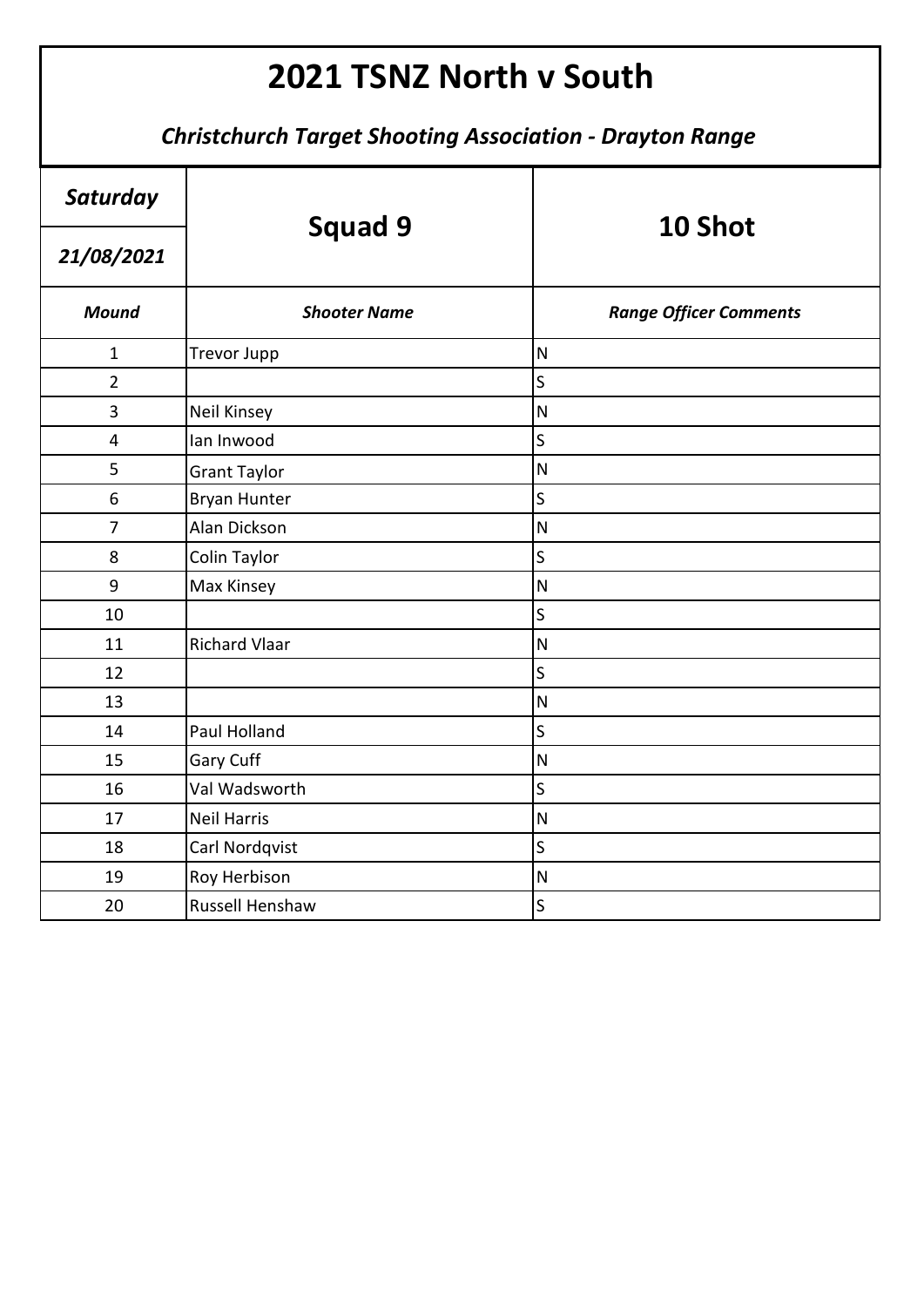| Saturday       | <b>Squad 9</b>       | 10 Shot                       |
|----------------|----------------------|-------------------------------|
| 21/08/2021     |                      |                               |
| <b>Mound</b>   | <b>Shooter Name</b>  | <b>Range Officer Comments</b> |
| $\mathbf{1}$   | <b>Trevor Jupp</b>   | $\overline{\mathsf{N}}$       |
| $\overline{2}$ |                      | $\overline{\mathsf{S}}$       |
| 3              | Neil Kinsey          | $\overline{\mathsf{N}}$       |
| $\overline{4}$ | lan Inwood           | S                             |
| 5              | <b>Grant Taylor</b>  | $\mathsf{N}$                  |
| 6              | <b>Bryan Hunter</b>  | $\mathsf S$                   |
| $\overline{7}$ | Alan Dickson         | $\overline{\mathsf{N}}$       |
| 8              | Colin Taylor         | $\overline{\mathsf{S}}$       |
| 9              | Max Kinsey           | $\mathsf{N}$                  |
| 10             |                      | $\overline{\mathsf{S}}$       |
| 11             | <b>Richard Vlaar</b> | $\mathsf{N}$                  |
| 12             |                      | $\overline{\mathsf{S}}$       |
| 13             |                      | $\mathsf{N}$                  |
| 14             | Paul Holland         | $\overline{\mathsf{S}}$       |
| 15             | Gary Cuff            | $\overline{\mathsf{N}}$       |
| 16             | Val Wadsworth        | $\mathsf{S}$                  |
| 17             | <b>Neil Harris</b>   | $\overline{\mathsf{N}}$       |
| 18             | Carl Nordqvist       | $\overline{\mathsf{S}}$       |
| 19             | Roy Herbison         | $\mathsf{N}$                  |
| 20             | Russell Henshaw      | $\mathsf S$                   |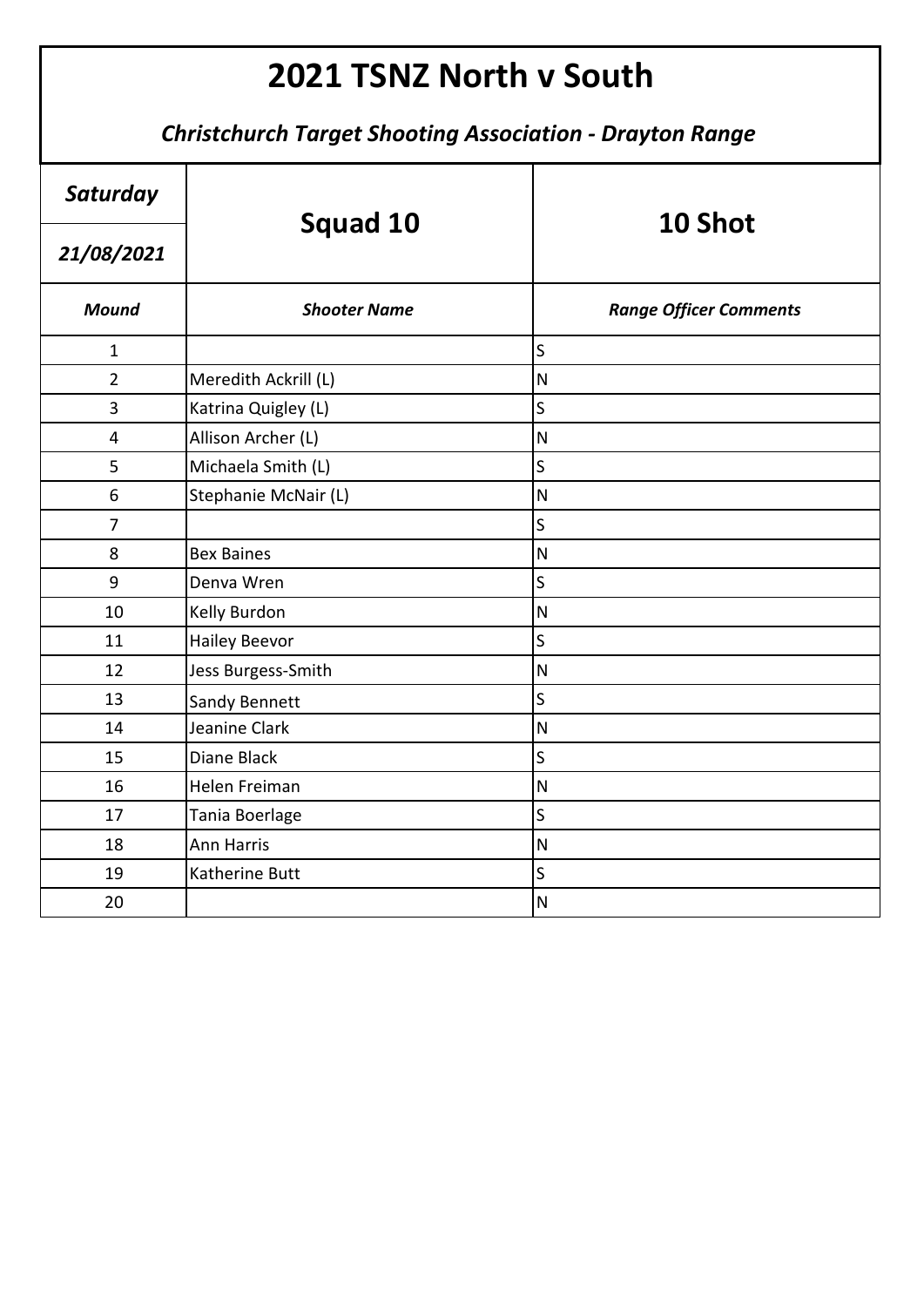| Saturday       |                       | 10 Shot                       |
|----------------|-----------------------|-------------------------------|
| 21/08/2021     | <b>Squad 10</b>       |                               |
| <b>Mound</b>   | <b>Shooter Name</b>   | <b>Range Officer Comments</b> |
| $\mathbf{1}$   |                       | S                             |
| $\overline{2}$ | Meredith Ackrill (L)  | ${\sf N}$                     |
| 3              | Katrina Quigley (L)   | $\overline{\mathsf{S}}$       |
| 4              | Allison Archer (L)    | $\overline{\mathsf{N}}$       |
| 5              | Michaela Smith (L)    | S                             |
| 6              | Stephanie McNair (L)  | ${\sf N}$                     |
| $\overline{7}$ |                       | $\overline{\mathsf{S}}$       |
| 8              | <b>Bex Baines</b>     | $\overline{\mathsf{N}}$       |
| 9              | Denva Wren            | S                             |
| 10             | Kelly Burdon          | $\overline{N}$                |
| 11             | <b>Hailey Beevor</b>  | $\overline{\mathsf{S}}$       |
| 12             | Jess Burgess-Smith    | $\mathsf{N}$                  |
| 13             | <b>Sandy Bennett</b>  | S                             |
| 14             | Jeanine Clark         | ${\sf N}$                     |
| 15             | Diane Black           | $\overline{\mathsf{S}}$       |
| 16             | Helen Freiman         | $\mathsf{N}$                  |
| 17             | Tania Boerlage        | $\mathsf{S}$                  |
| 18             | <b>Ann Harris</b>     | ${\sf N}$                     |
| 19             | <b>Katherine Butt</b> | $\overline{\mathsf{S}}$       |
| 20             |                       | $\mathsf{N}$                  |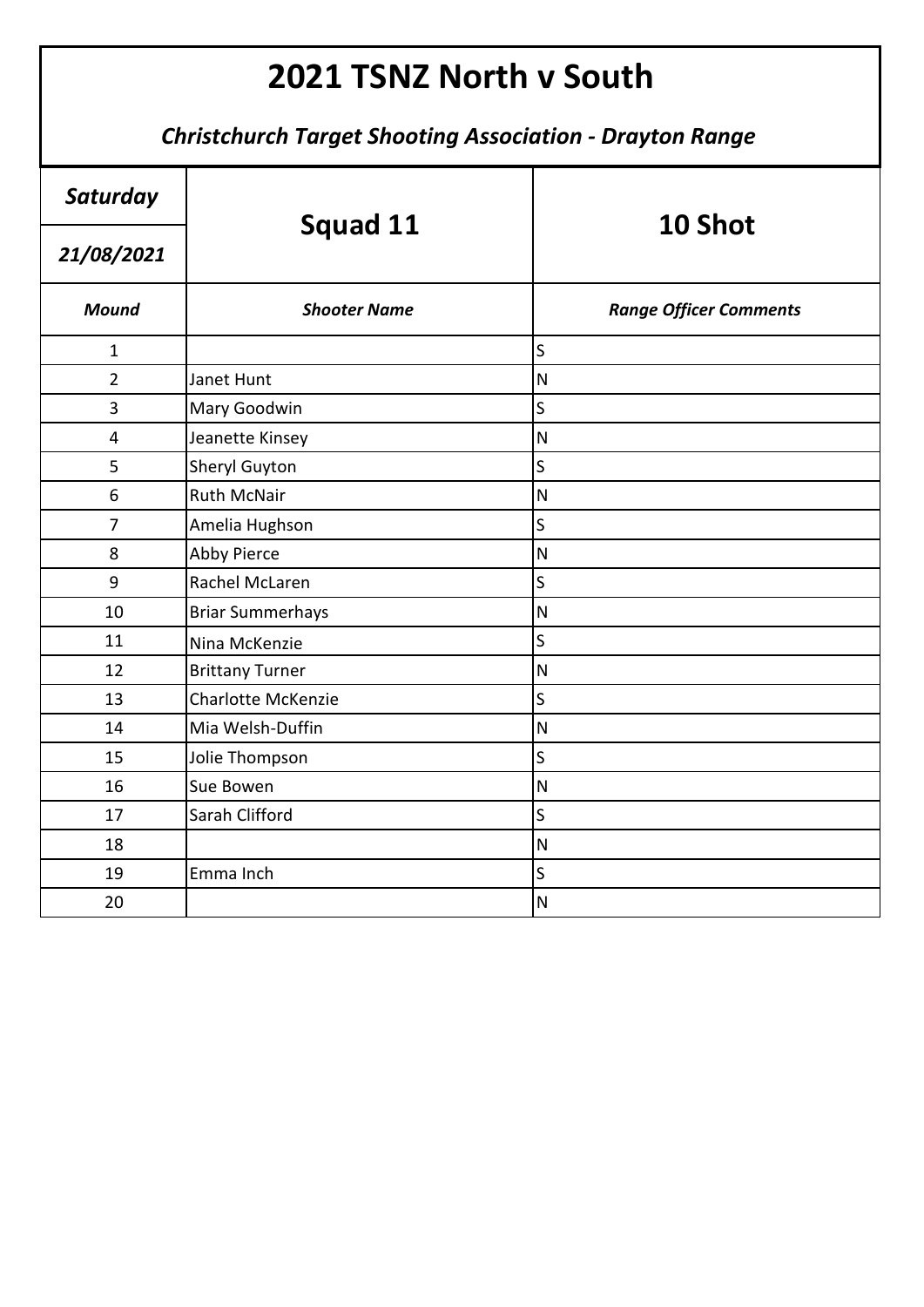| Saturday                | <b>Squad 11</b>           | 10 Shot                       |
|-------------------------|---------------------------|-------------------------------|
| 21/08/2021              |                           |                               |
| <b>Mound</b>            | <b>Shooter Name</b>       | <b>Range Officer Comments</b> |
| $\mathbf{1}$            |                           | $\mathsf S$                   |
| $\overline{2}$          | Janet Hunt                | $\overline{\mathsf{N}}$       |
| 3                       | Mary Goodwin              | S                             |
| $\overline{\mathbf{4}}$ | Jeanette Kinsey           | $\overline{\mathsf{N}}$       |
| 5                       | <b>Sheryl Guyton</b>      | $\sf S$                       |
| 6                       | <b>Ruth McNair</b>        | $\overline{\mathsf{N}}$       |
| $\overline{7}$          | Amelia Hughson            | S                             |
| 8                       | Abby Pierce               | $\overline{\mathsf{N}}$       |
| 9                       | Rachel McLaren            | S                             |
| 10                      | <b>Briar Summerhays</b>   | $\overline{\mathsf{N}}$       |
| 11                      | Nina McKenzie             | S                             |
| 12                      | <b>Brittany Turner</b>    | $\overline{\mathsf{N}}$       |
| 13                      | <b>Charlotte McKenzie</b> | S                             |
| 14                      | Mia Welsh-Duffin          | $\overline{N}$                |
| 15                      | Jolie Thompson            | S                             |
| 16                      | Sue Bowen                 | $\overline{\mathsf{N}}$       |
| 17                      | Sarah Clifford            | S                             |
| 18                      |                           | $\overline{\mathsf{N}}$       |
| 19                      | Emma Inch                 | S                             |
| 20                      |                           | $\overline{\mathsf{N}}$       |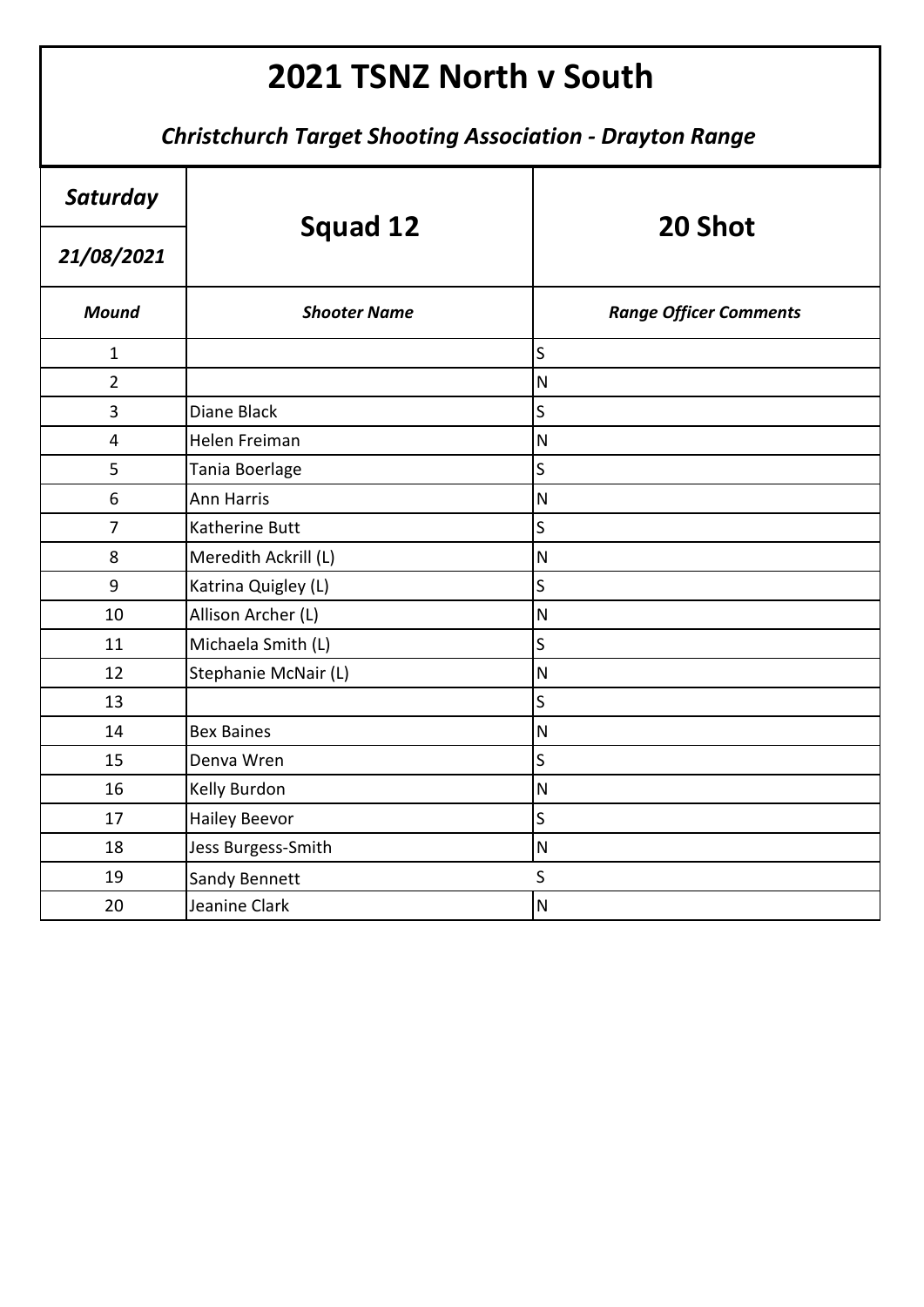| Saturday                | <b>Squad 12</b>       | 20 Shot                       |
|-------------------------|-----------------------|-------------------------------|
| 21/08/2021              |                       |                               |
| <b>Mound</b>            | <b>Shooter Name</b>   | <b>Range Officer Comments</b> |
| $\mathbf{1}$            |                       | $\mathsf{S}$                  |
| $\overline{2}$          |                       | $\overline{\mathsf{N}}$       |
| 3                       | Diane Black           | $\overline{\mathsf{S}}$       |
| $\overline{\mathbf{4}}$ | Helen Freiman         | $\overline{\mathsf{N}}$       |
| 5                       | Tania Boerlage        | S                             |
| 6                       | <b>Ann Harris</b>     | $\overline{\mathsf{N}}$       |
| $\overline{7}$          | <b>Katherine Butt</b> | S                             |
| 8                       | Meredith Ackrill (L)  | $\overline{\mathsf{N}}$       |
| 9                       | Katrina Quigley (L)   | S                             |
| 10                      | Allison Archer (L)    | $\overline{\mathsf{N}}$       |
| 11                      | Michaela Smith (L)    | S                             |
| 12                      | Stephanie McNair (L)  | $\overline{\mathsf{N}}$       |
| 13                      |                       | S                             |
| 14                      | <b>Bex Baines</b>     | $\overline{N}$                |
| 15                      | Denva Wren            | S                             |
| 16                      | Kelly Burdon          | ${\sf N}$                     |
| 17                      | <b>Hailey Beevor</b>  | S                             |
| 18                      | Jess Burgess-Smith    | $\overline{\mathsf{N}}$       |
| 19                      | <b>Sandy Bennett</b>  | S                             |
| 20                      | Jeanine Clark         | $\overline{\mathsf{N}}$       |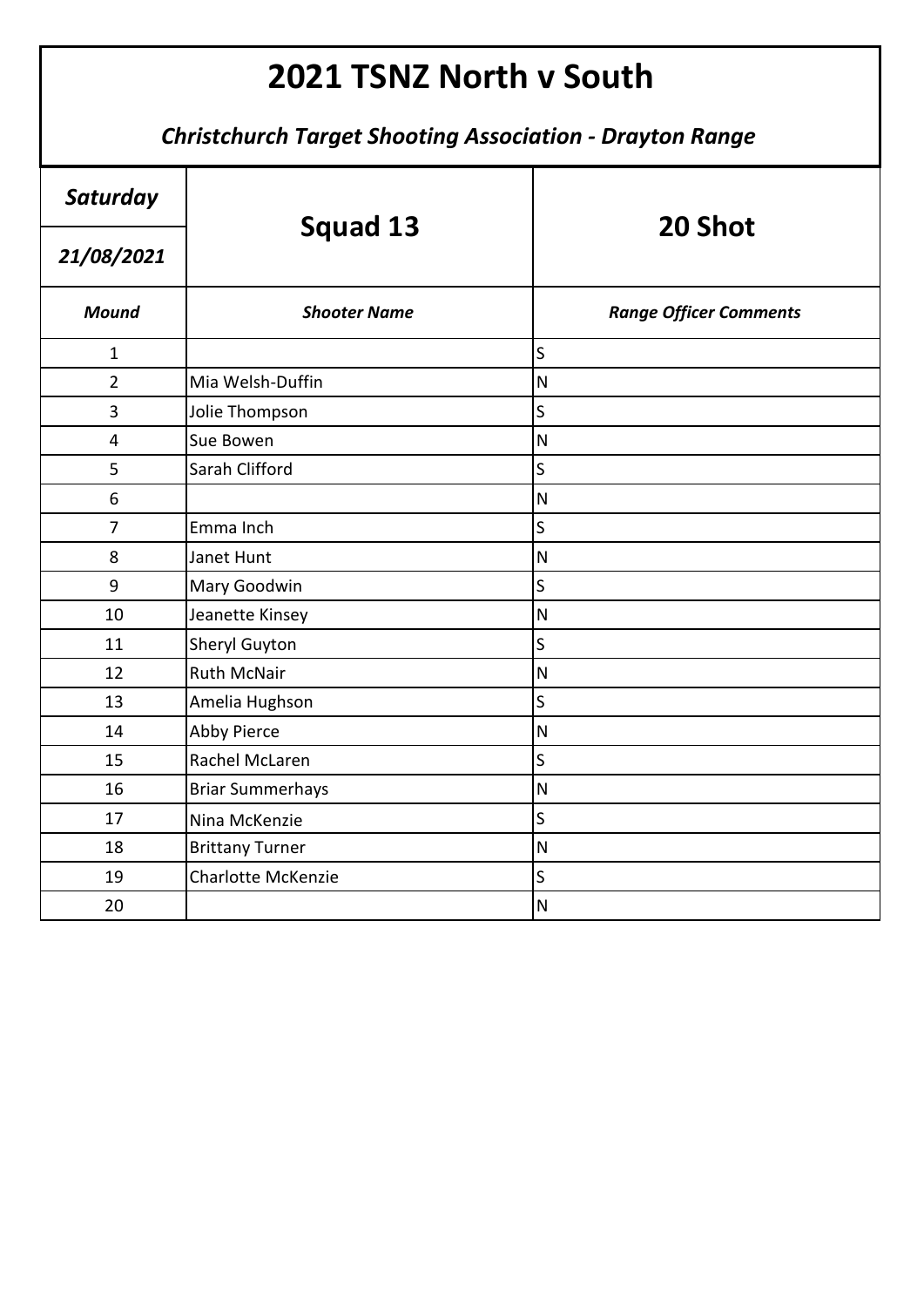| Saturday       | <b>Squad 13</b>           | 20 Shot                       |
|----------------|---------------------------|-------------------------------|
| 21/08/2021     |                           |                               |
| <b>Mound</b>   | <b>Shooter Name</b>       | <b>Range Officer Comments</b> |
| $\mathbf{1}$   |                           | S                             |
| $\overline{2}$ | Mia Welsh-Duffin          | $\overline{\mathsf{N}}$       |
| 3              | Jolie Thompson            | S                             |
| 4              | Sue Bowen                 | $\overline{\mathsf{N}}$       |
| 5              | Sarah Clifford            | $\overline{\mathsf{S}}$       |
| 6              |                           | $\overline{\mathsf{N}}$       |
| $\overline{7}$ | Emma Inch                 | $\overline{\mathsf{S}}$       |
| 8              | Janet Hunt                | $\overline{\mathsf{N}}$       |
| 9              | Mary Goodwin              | S                             |
| 10             | Jeanette Kinsey           | $\overline{\mathsf{N}}$       |
| 11             | <b>Sheryl Guyton</b>      | $\sf S$                       |
| 12             | <b>Ruth McNair</b>        | $\mathsf{N}$                  |
| 13             | Amelia Hughson            | S                             |
| 14             | Abby Pierce               | $\overline{\mathsf{N}}$       |
| 15             | Rachel McLaren            | S                             |
| 16             | <b>Briar Summerhays</b>   | $\overline{\mathsf{N}}$       |
| 17             | Nina McKenzie             | S                             |
| 18             | <b>Brittany Turner</b>    | $\overline{\mathsf{N}}$       |
| 19             | <b>Charlotte McKenzie</b> | S                             |
| 20             |                           | $\overline{\mathsf{N}}$       |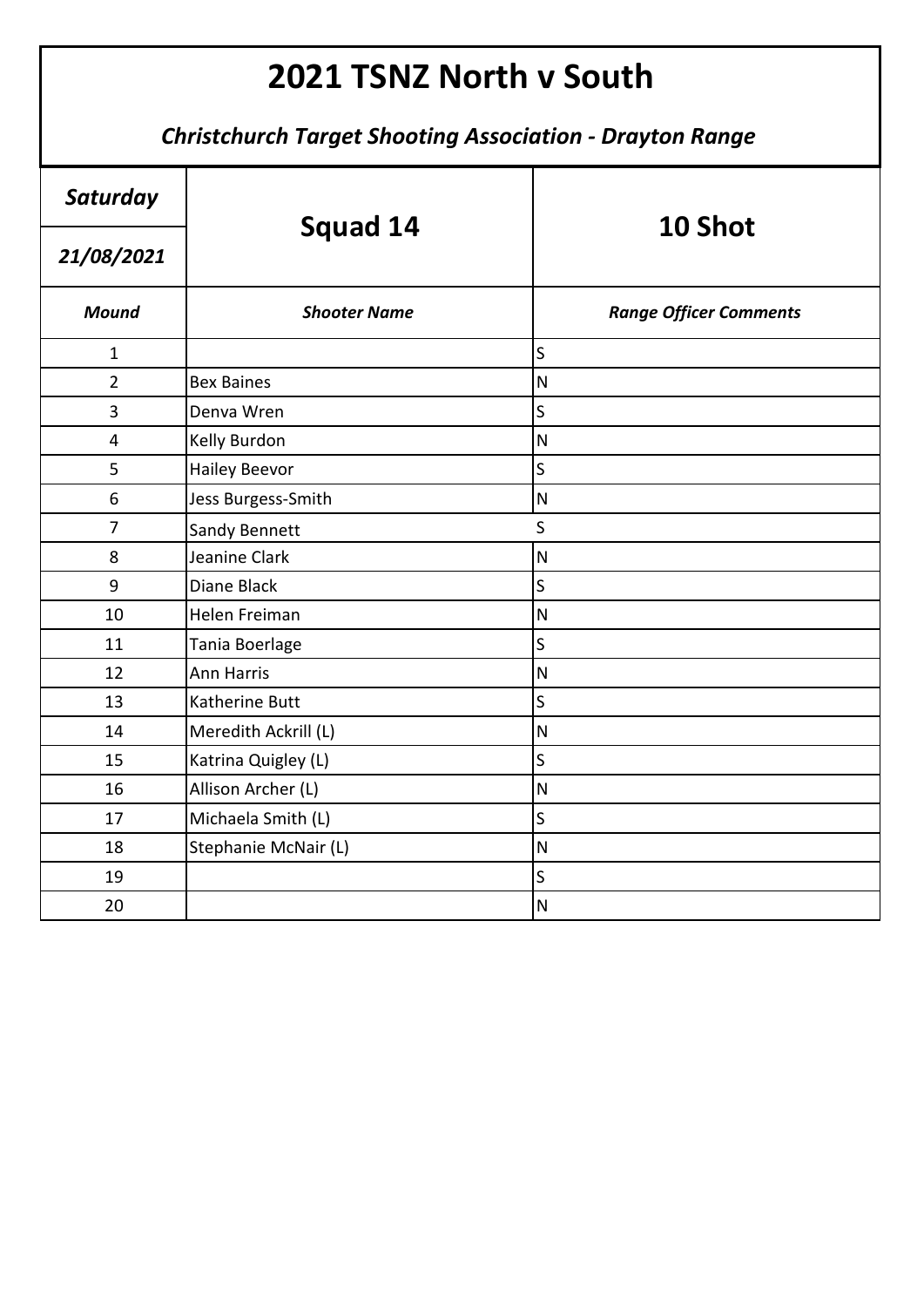| Saturday       | Squad 14             | 10 Shot                       |
|----------------|----------------------|-------------------------------|
| 21/08/2021     |                      |                               |
| <b>Mound</b>   | <b>Shooter Name</b>  | <b>Range Officer Comments</b> |
| $\mathbf{1}$   |                      | S                             |
| $\overline{2}$ | <b>Bex Baines</b>    | ${\sf N}$                     |
| 3              | Denva Wren           | S                             |
| 4              | Kelly Burdon         | $\overline{\mathsf{N}}$       |
| 5              | <b>Hailey Beevor</b> | S                             |
| 6              | Jess Burgess-Smith   | $\overline{\mathsf{N}}$       |
| $\overline{7}$ | Sandy Bennett        | $\mathsf{S}$                  |
| 8              | Jeanine Clark        | $\overline{\mathsf{N}}$       |
| 9              | Diane Black          | $\mathsf S$                   |
| 10             | Helen Freiman        | $\overline{\mathsf{N}}$       |
| 11             | Tania Boerlage       | S                             |
| 12             | <b>Ann Harris</b>    | $\overline{\mathsf{N}}$       |
| 13             | Katherine Butt       | S                             |
| 14             | Meredith Ackrill (L) | $\overline{\mathsf{N}}$       |
| 15             | Katrina Quigley (L)  | $\overline{\mathsf{S}}$       |
| 16             | Allison Archer (L)   | $\mathsf{N}$                  |
| 17             | Michaela Smith (L)   | $\mathsf{S}$                  |
| 18             | Stephanie McNair (L) | $\overline{\mathsf{N}}$       |
| 19             |                      | $\mathsf S$                   |
| 20             |                      | $\overline{\mathsf{N}}$       |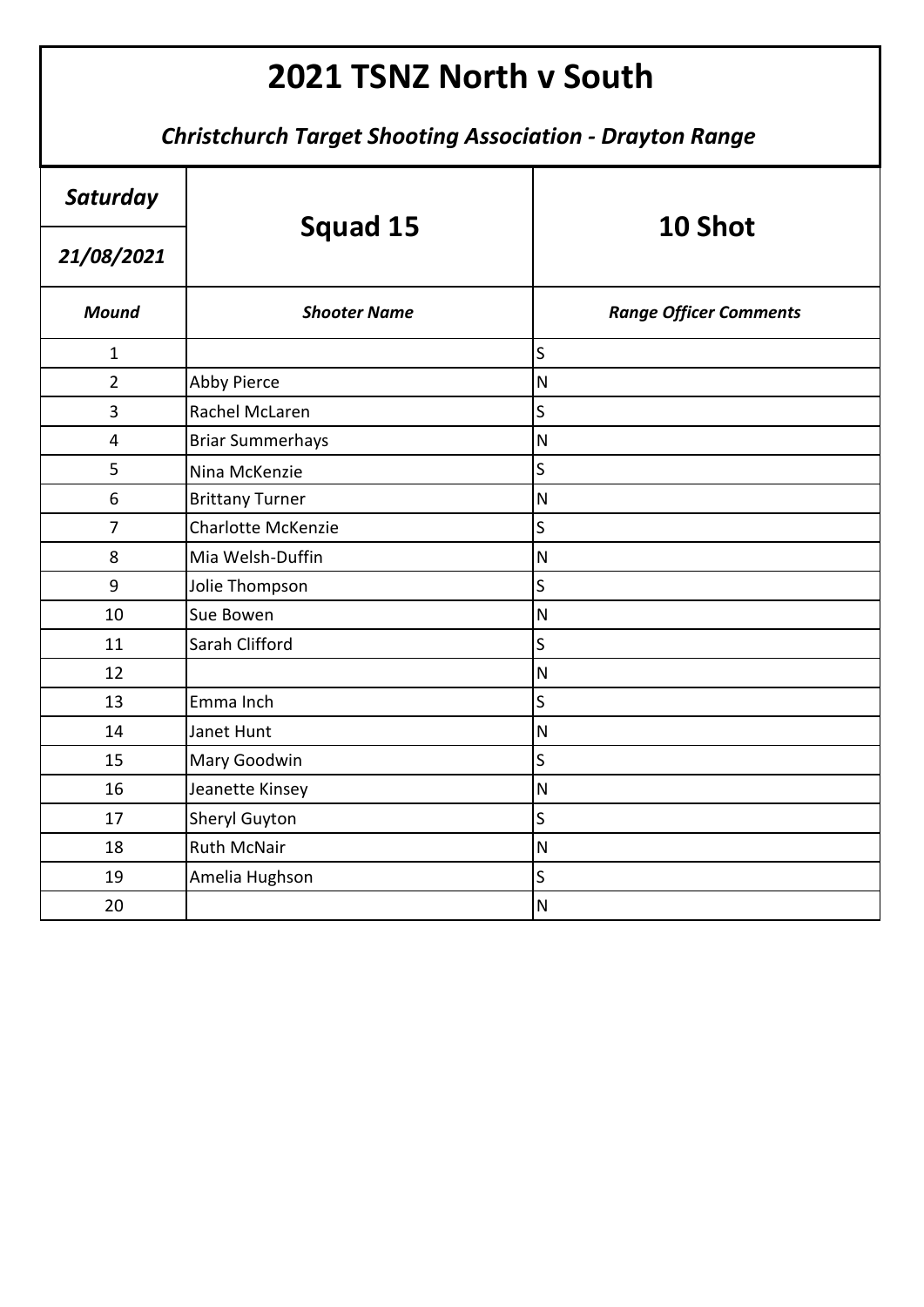| Saturday       | Squad 15                  | 10 Shot                       |
|----------------|---------------------------|-------------------------------|
| 21/08/2021     |                           |                               |
| <b>Mound</b>   | <b>Shooter Name</b>       | <b>Range Officer Comments</b> |
| $\mathbf{1}$   |                           | S                             |
| $\overline{2}$ | <b>Abby Pierce</b>        | $\overline{\mathsf{N}}$       |
| 3              | Rachel McLaren            | S                             |
| 4              | <b>Briar Summerhays</b>   | $\overline{\mathsf{N}}$       |
| 5              | Nina McKenzie             | $\overline{\mathsf{S}}$       |
| 6              | <b>Brittany Turner</b>    | $\overline{\mathsf{N}}$       |
| $\overline{7}$ | <b>Charlotte McKenzie</b> | $\overline{\mathsf{S}}$       |
| 8              | Mia Welsh-Duffin          | $\overline{\mathsf{N}}$       |
| 9              | Jolie Thompson            | S                             |
| 10             | Sue Bowen                 | $\overline{\mathsf{N}}$       |
| 11             | Sarah Clifford            | $\sf S$                       |
| 12             |                           | $\mathsf{N}$                  |
| 13             | Emma Inch                 | S                             |
| 14             | Janet Hunt                | $\overline{\mathsf{N}}$       |
| 15             | Mary Goodwin              | S                             |
| 16             | Jeanette Kinsey           | $\overline{\mathsf{N}}$       |
| 17             | Sheryl Guyton             | S                             |
| 18             | <b>Ruth McNair</b>        | $\overline{\mathsf{N}}$       |
| 19             | Amelia Hughson            | S                             |
| 20             |                           | $\overline{\mathsf{N}}$       |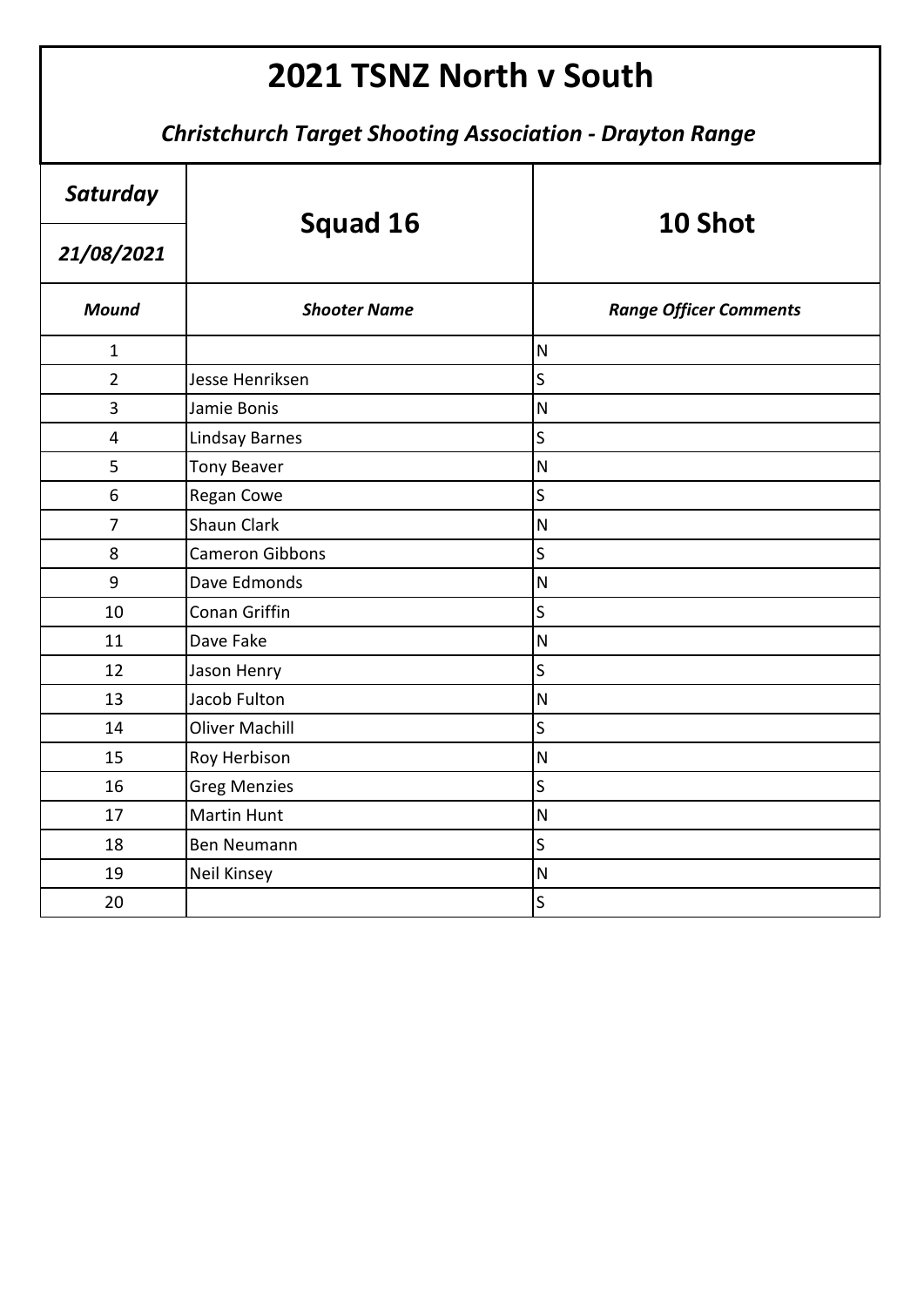| Saturday                |                        | 10 Shot                       |
|-------------------------|------------------------|-------------------------------|
| 21/08/2021              | Squad 16               |                               |
| <b>Mound</b>            | <b>Shooter Name</b>    | <b>Range Officer Comments</b> |
| $\mathbf{1}$            |                        | $\mathsf{N}$                  |
| $\overline{2}$          | Jesse Henriksen        | $\overline{\mathsf{S}}$       |
| 3                       | Jamie Bonis            | N                             |
| $\overline{\mathbf{4}}$ | <b>Lindsay Barnes</b>  | $\overline{\mathsf{S}}$       |
| 5                       | <b>Tony Beaver</b>     | $\overline{\mathsf{N}}$       |
| 6                       | Regan Cowe             | S                             |
| $\overline{7}$          | <b>Shaun Clark</b>     | $\mathsf{N}$                  |
| 8                       | <b>Cameron Gibbons</b> | S                             |
| 9                       | Dave Edmonds           | ${\sf N}$                     |
| 10                      | Conan Griffin          | $\overline{\mathsf{S}}$       |
| 11                      | Dave Fake              | $\mathsf{N}$                  |
| 12                      | Jason Henry            | $\overline{\mathsf{S}}$       |
| 13                      | Jacob Fulton           | $\mathsf{N}$                  |
| 14                      | <b>Oliver Machill</b>  | $\overline{\mathsf{S}}$       |
| 15                      | Roy Herbison           | $\overline{\mathsf{N}}$       |
| 16                      | <b>Greg Menzies</b>    | $\overline{\mathsf{S}}$       |
| 17                      | <b>Martin Hunt</b>     | $\mathsf{N}$                  |
| 18                      | <b>Ben Neumann</b>     | $\overline{\mathsf{S}}$       |
| 19                      | <b>Neil Kinsey</b>     | $\mathsf{N}$                  |
| 20                      |                        | S                             |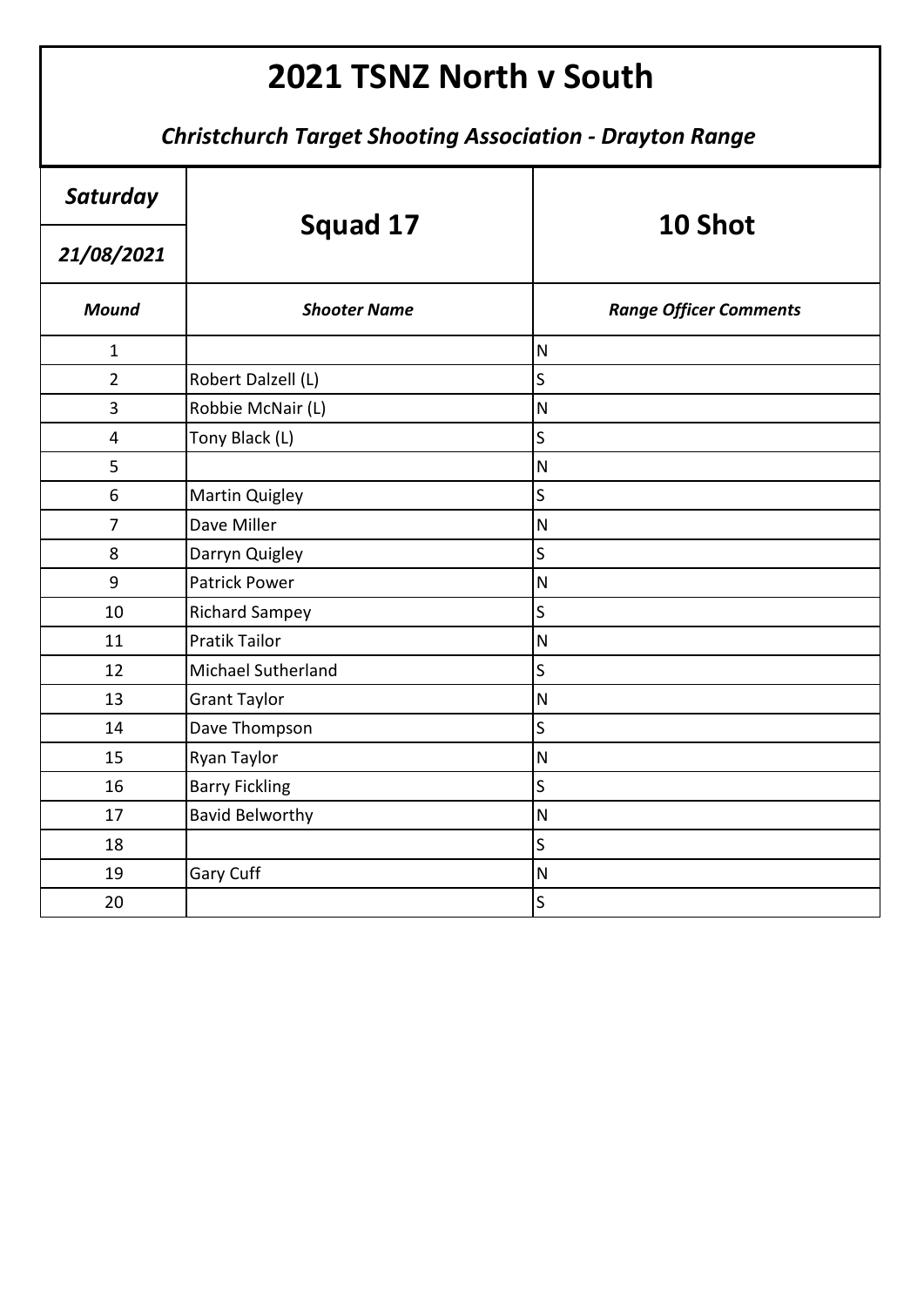| Saturday       | Squad 17               | 10 Shot                       |
|----------------|------------------------|-------------------------------|
| 21/08/2021     |                        |                               |
| <b>Mound</b>   | <b>Shooter Name</b>    | <b>Range Officer Comments</b> |
| $\mathbf{1}$   |                        | $\overline{\mathsf{N}}$       |
| $\overline{2}$ | Robert Dalzell (L)     | S                             |
| 3              | Robbie McNair (L)      | $\mathsf{N}$                  |
| 4              | Tony Black (L)         | S                             |
| 5              |                        | ${\sf N}$                     |
| 6              | <b>Martin Quigley</b>  | $\mathsf{S}$                  |
| $\overline{7}$ | Dave Miller            | $\overline{\mathsf{N}}$       |
| 8              | Darryn Quigley         | S                             |
| 9              | <b>Patrick Power</b>   | $\overline{\mathsf{N}}$       |
| 10             | <b>Richard Sampey</b>  | S                             |
| 11             | <b>Pratik Tailor</b>   | $\overline{\mathsf{N}}$       |
| 12             | Michael Sutherland     | $\sf S$                       |
| 13             | <b>Grant Taylor</b>    | $\overline{\mathsf{N}}$       |
| 14             | Dave Thompson          | S                             |
| 15             | Ryan Taylor            | $\overline{\mathsf{N}}$       |
| 16             | <b>Barry Fickling</b>  | $\mathsf S$                   |
| 17             | <b>Bavid Belworthy</b> | $\overline{\mathsf{N}}$       |
| 18             |                        | S                             |
| 19             | Gary Cuff              | $\overline{\mathsf{N}}$       |
| 20             |                        | S                             |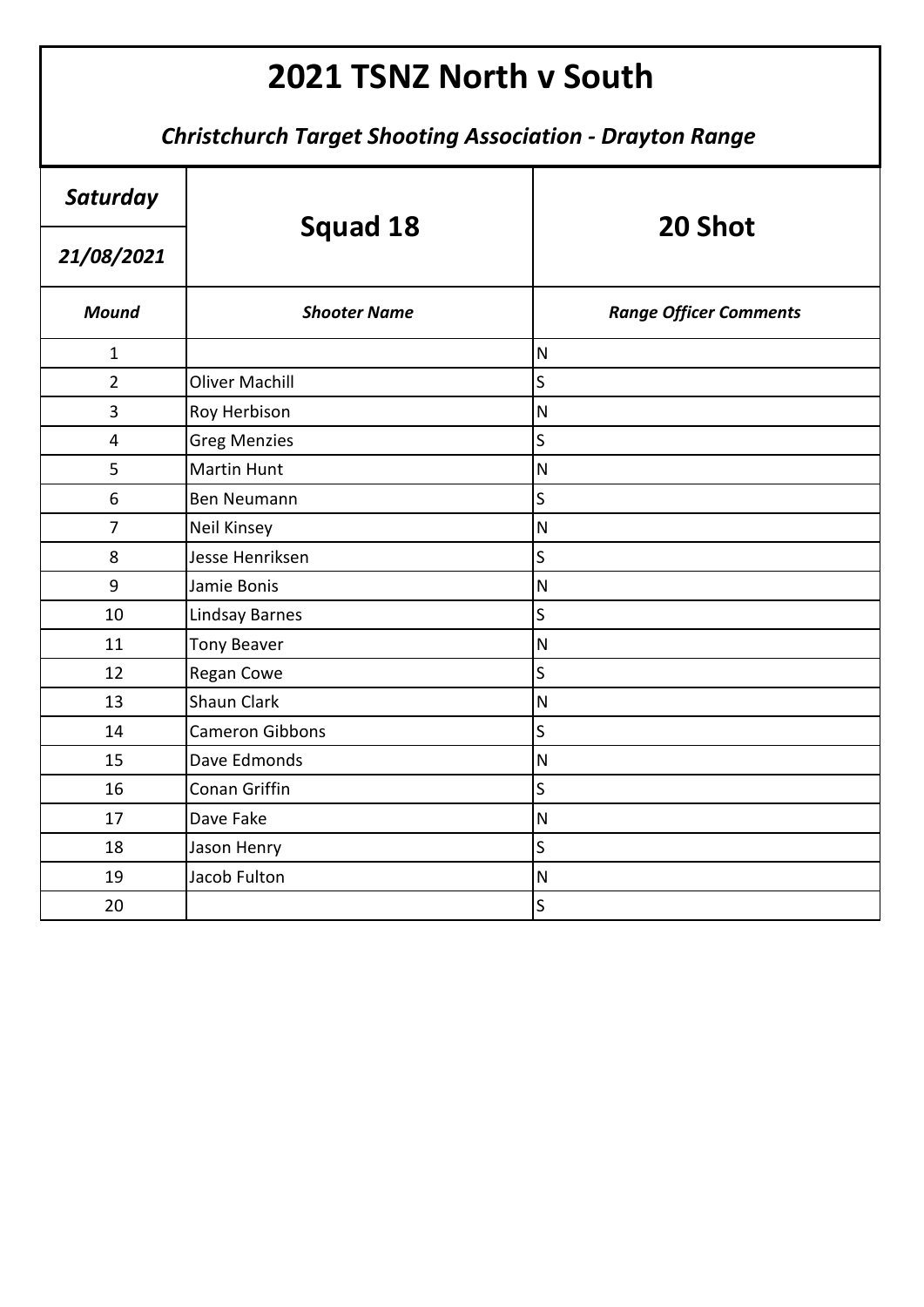| Saturday       | <b>Squad 18</b>        | 20 Shot                       |
|----------------|------------------------|-------------------------------|
| 21/08/2021     |                        |                               |
| <b>Mound</b>   | <b>Shooter Name</b>    | <b>Range Officer Comments</b> |
| $\mathbf{1}$   |                        | $\mathsf{N}$                  |
| $\overline{2}$ | <b>Oliver Machill</b>  | $\mathsf S$                   |
| 3              | Roy Herbison           | $\overline{\mathsf{N}}$       |
| 4              | <b>Greg Menzies</b>    | S                             |
| 5              | <b>Martin Hunt</b>     | $\overline{\mathsf{N}}$       |
| 6              | Ben Neumann            | $\sf S$                       |
| $\overline{7}$ | <b>Neil Kinsey</b>     | $\overline{\mathsf{N}}$       |
| 8              | Jesse Henriksen        | S                             |
| 9              | Jamie Bonis            | $\overline{\mathsf{N}}$       |
| 10             | Lindsay Barnes         | S                             |
| 11             | <b>Tony Beaver</b>     | $\overline{\mathsf{N}}$       |
| 12             | Regan Cowe             | $\mathsf S$                   |
| 13             | <b>Shaun Clark</b>     | $\overline{\mathsf{N}}$       |
| 14             | <b>Cameron Gibbons</b> | $\overline{\mathsf{S}}$       |
| 15             | Dave Edmonds           | $\overline{\mathsf{N}}$       |
| 16             | Conan Griffin          | S                             |
| 17             | Dave Fake              | $\overline{\mathsf{N}}$       |
| 18             | Jason Henry            | S                             |
| 19             | Jacob Fulton           | $\mathsf{N}$                  |
| 20             |                        | $\sf S$                       |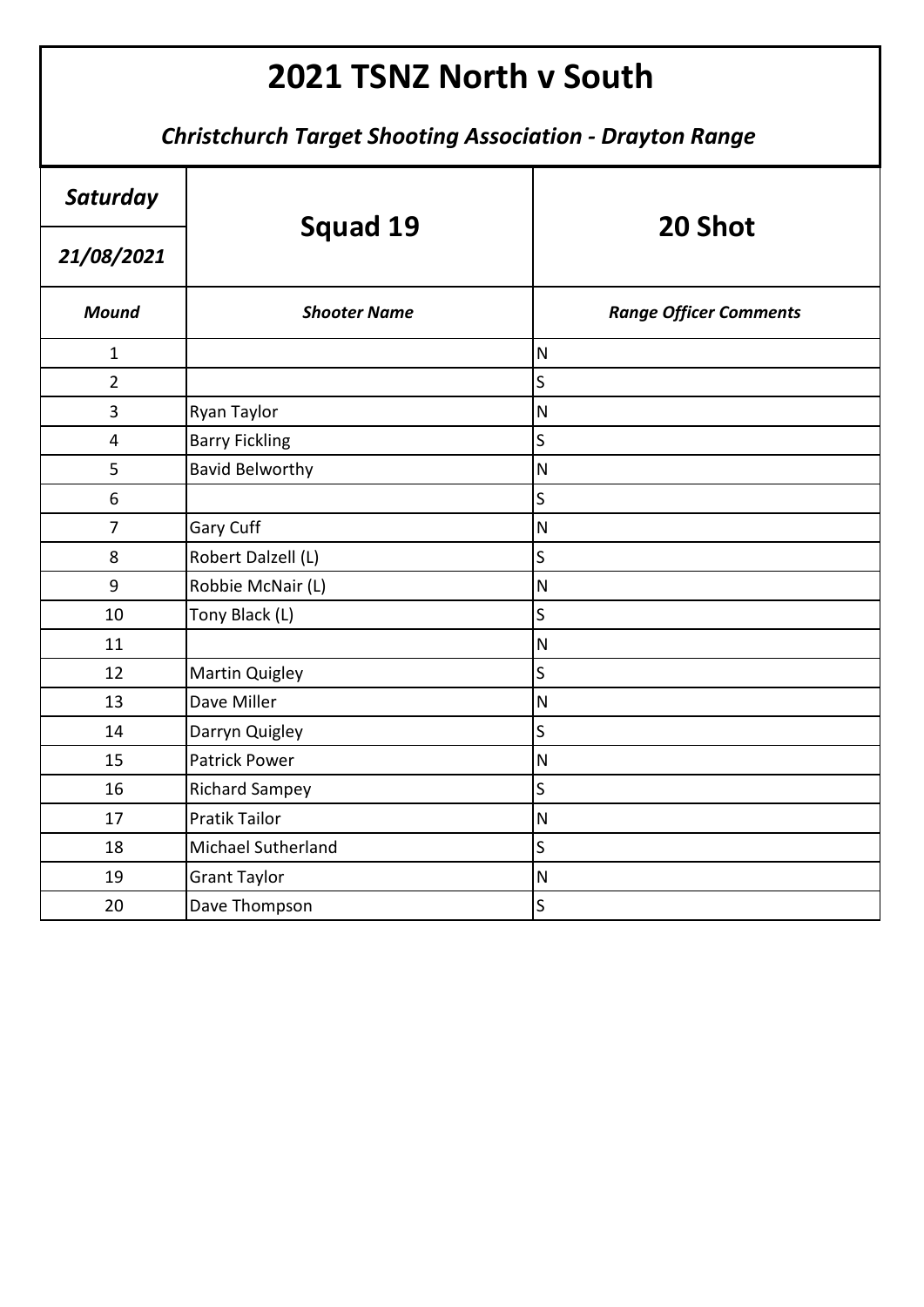| Saturday       | <b>Squad 19</b>        | 20 Shot                       |
|----------------|------------------------|-------------------------------|
| 21/08/2021     |                        |                               |
| <b>Mound</b>   | <b>Shooter Name</b>    | <b>Range Officer Comments</b> |
| $\mathbf{1}$   |                        | N                             |
| $\overline{2}$ |                        | $\mathsf S$                   |
| 3              | Ryan Taylor            | $\overline{\mathsf{N}}$       |
| 4              | <b>Barry Fickling</b>  | S                             |
| 5              | <b>Bavid Belworthy</b> | $\overline{\mathsf{N}}$       |
| 6              |                        | $\sf S$                       |
| $\overline{7}$ | Gary Cuff              | $\overline{\mathsf{N}}$       |
| 8              | Robert Dalzell (L)     | S                             |
| 9              | Robbie McNair (L)      | $\overline{\mathsf{N}}$       |
| 10             | Tony Black (L)         | S                             |
| 11             |                        | $\overline{\mathsf{N}}$       |
| 12             | <b>Martin Quigley</b>  | $\mathsf S$                   |
| 13             | Dave Miller            | $\overline{\mathsf{N}}$       |
| 14             | Darryn Quigley         | $\overline{\mathsf{S}}$       |
| 15             | <b>Patrick Power</b>   | $\overline{\mathsf{N}}$       |
| 16             | <b>Richard Sampey</b>  | S                             |
| 17             | <b>Pratik Tailor</b>   | $\overline{\mathsf{N}}$       |
| 18             | Michael Sutherland     | S                             |
| 19             | <b>Grant Taylor</b>    | $\overline{\mathsf{N}}$       |
| 20             | Dave Thompson          | $\mathsf S$                   |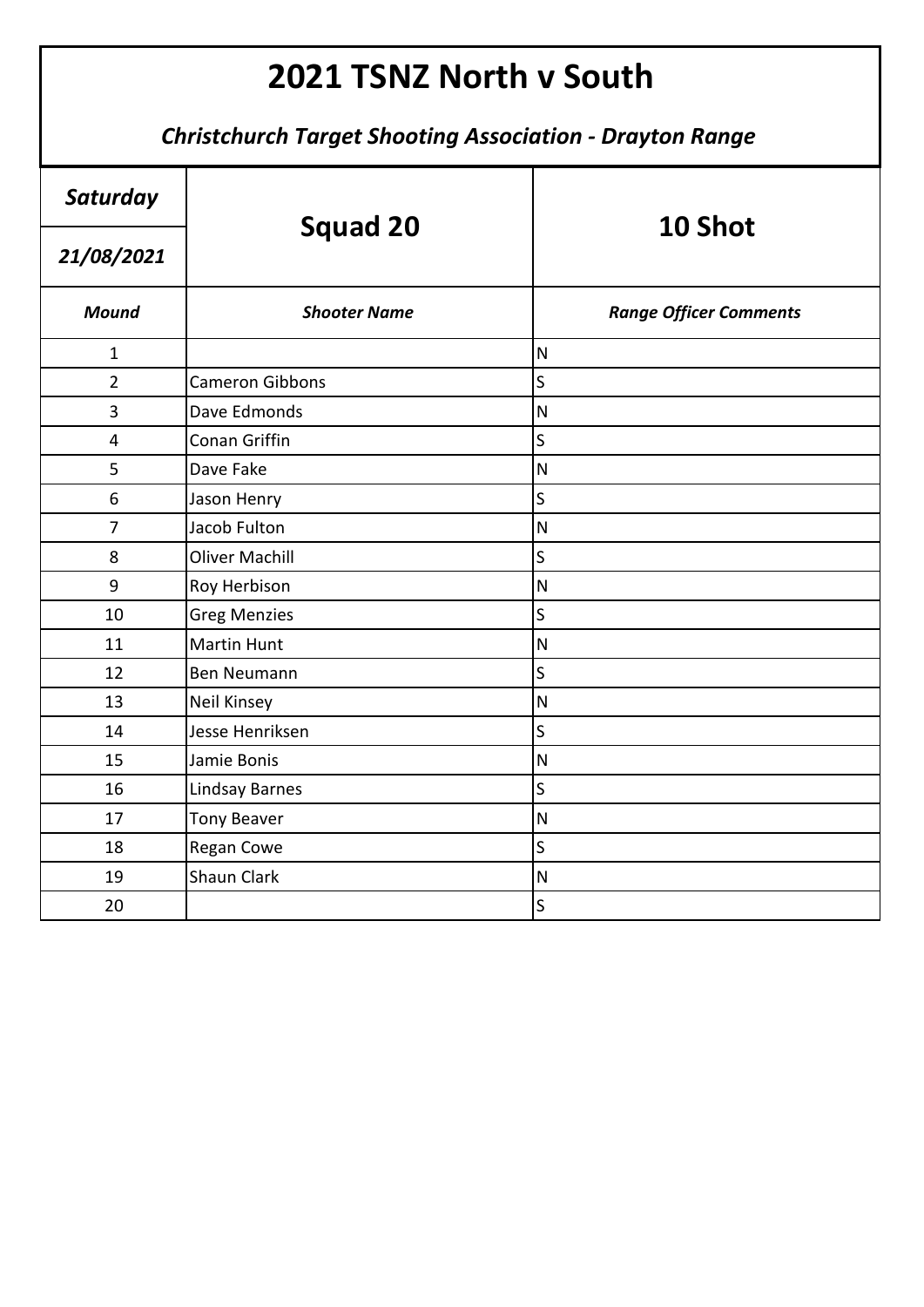| Saturday       |                        | 10 Shot                       |
|----------------|------------------------|-------------------------------|
| 21/08/2021     | <b>Squad 20</b>        |                               |
| <b>Mound</b>   | <b>Shooter Name</b>    | <b>Range Officer Comments</b> |
| $\mathbf{1}$   |                        | $\mathsf{N}$                  |
| $\overline{2}$ | <b>Cameron Gibbons</b> | $\overline{\mathsf{S}}$       |
| 3              | Dave Edmonds           | $\mathsf{N}$                  |
| $\overline{4}$ | Conan Griffin          | S                             |
| 5              | Dave Fake              | $\mathsf{N}$                  |
| 6              | Jason Henry            | $\overline{\mathsf{S}}$       |
| $\overline{7}$ | Jacob Fulton           | ${\sf N}$                     |
| 8              | <b>Oliver Machill</b>  | $\overline{\mathsf{S}}$       |
| 9              | Roy Herbison           | ${\sf N}$                     |
| 10             | <b>Greg Menzies</b>    | $\overline{\mathsf{S}}$       |
| 11             | <b>Martin Hunt</b>     | $\mathsf{N}$                  |
| 12             | <b>Ben Neumann</b>     | $\mathsf{S}$                  |
| 13             | <b>Neil Kinsey</b>     | $\overline{\mathsf{N}}$       |
| 14             | Jesse Henriksen        | $\overline{\mathsf{S}}$       |
| 15             | Jamie Bonis            | N                             |
| 16             | Lindsay Barnes         | S                             |
| 17             | <b>Tony Beaver</b>     | $\mathsf{N}$                  |
| 18             | <b>Regan Cowe</b>      | S                             |
| 19             | <b>Shaun Clark</b>     | ${\sf N}$                     |
| 20             |                        | $\mathsf{S}$                  |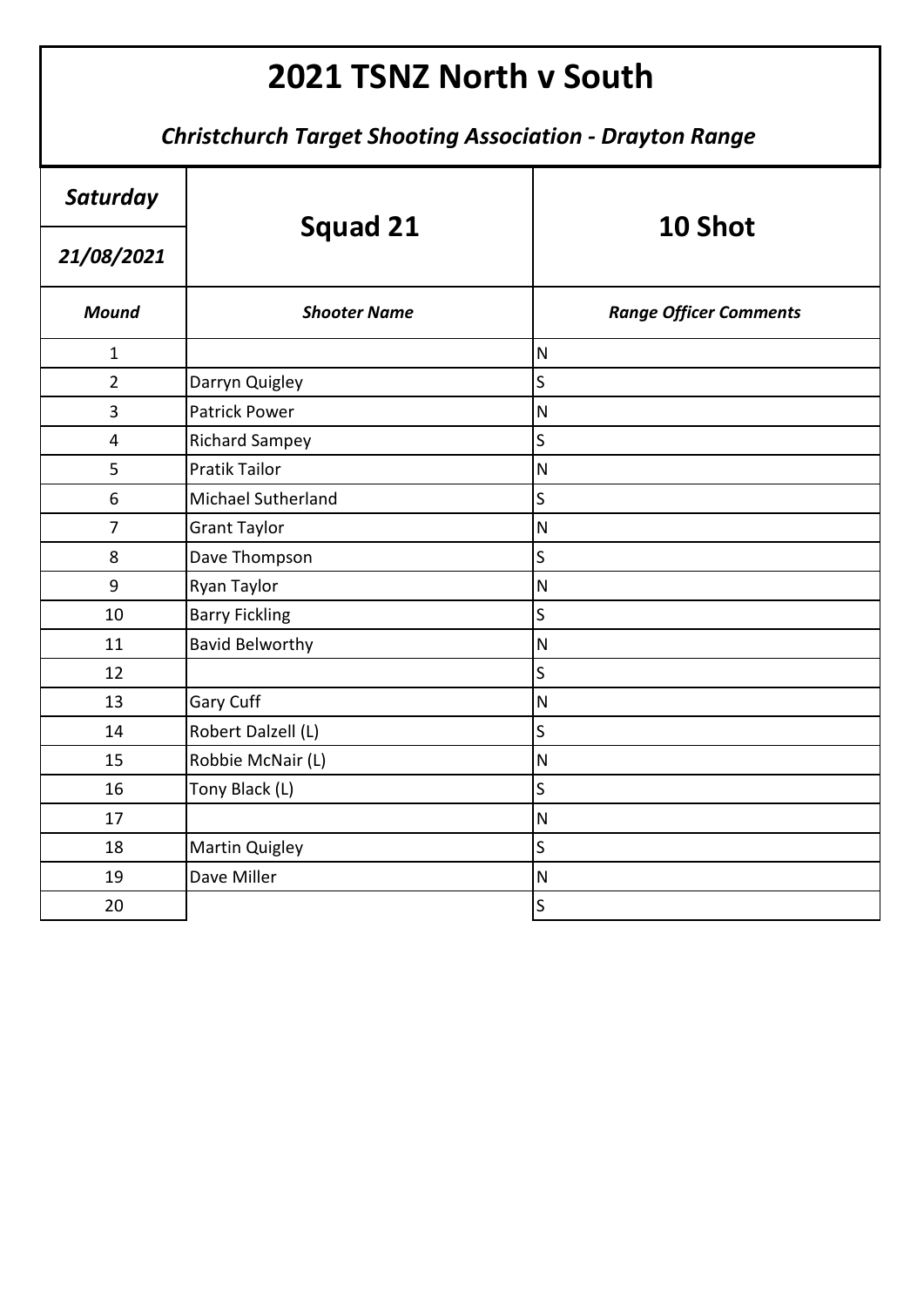| Saturday                | <b>Squad 21</b>        | 10 Shot                       |
|-------------------------|------------------------|-------------------------------|
| 21/08/2021              |                        |                               |
| <b>Mound</b>            | <b>Shooter Name</b>    | <b>Range Officer Comments</b> |
| $\mathbf{1}$            |                        | $\overline{\mathsf{N}}$       |
| $\overline{2}$          | Darryn Quigley         | S                             |
| 3                       | <b>Patrick Power</b>   | $\overline{\mathsf{N}}$       |
| $\overline{\mathbf{4}}$ | <b>Richard Sampey</b>  | $\mathsf{S}$                  |
| 5                       | <b>Pratik Tailor</b>   | $\overline{\mathsf{N}}$       |
| 6                       | Michael Sutherland     | S                             |
| $\overline{7}$          | <b>Grant Taylor</b>    | $\overline{\mathsf{N}}$       |
| 8                       | Dave Thompson          | S                             |
| 9                       | Ryan Taylor            | $\mathsf{N}$                  |
| 10                      | <b>Barry Fickling</b>  | S                             |
| 11                      | <b>Bavid Belworthy</b> | $\overline{\mathsf{N}}$       |
| 12                      |                        | S                             |
| 13                      | Gary Cuff              | $\overline{\mathsf{N}}$       |
| 14                      | Robert Dalzell (L)     | $\overline{\mathsf{S}}$       |
| 15                      | Robbie McNair (L)      | $\overline{\mathsf{N}}$       |
| 16                      | Tony Black (L)         | S                             |
| 17                      |                        | $\mathsf{N}$                  |
| 18                      | <b>Martin Quigley</b>  | S                             |
| 19                      | Dave Miller            | $\overline{\mathsf{N}}$       |
| 20                      |                        | S                             |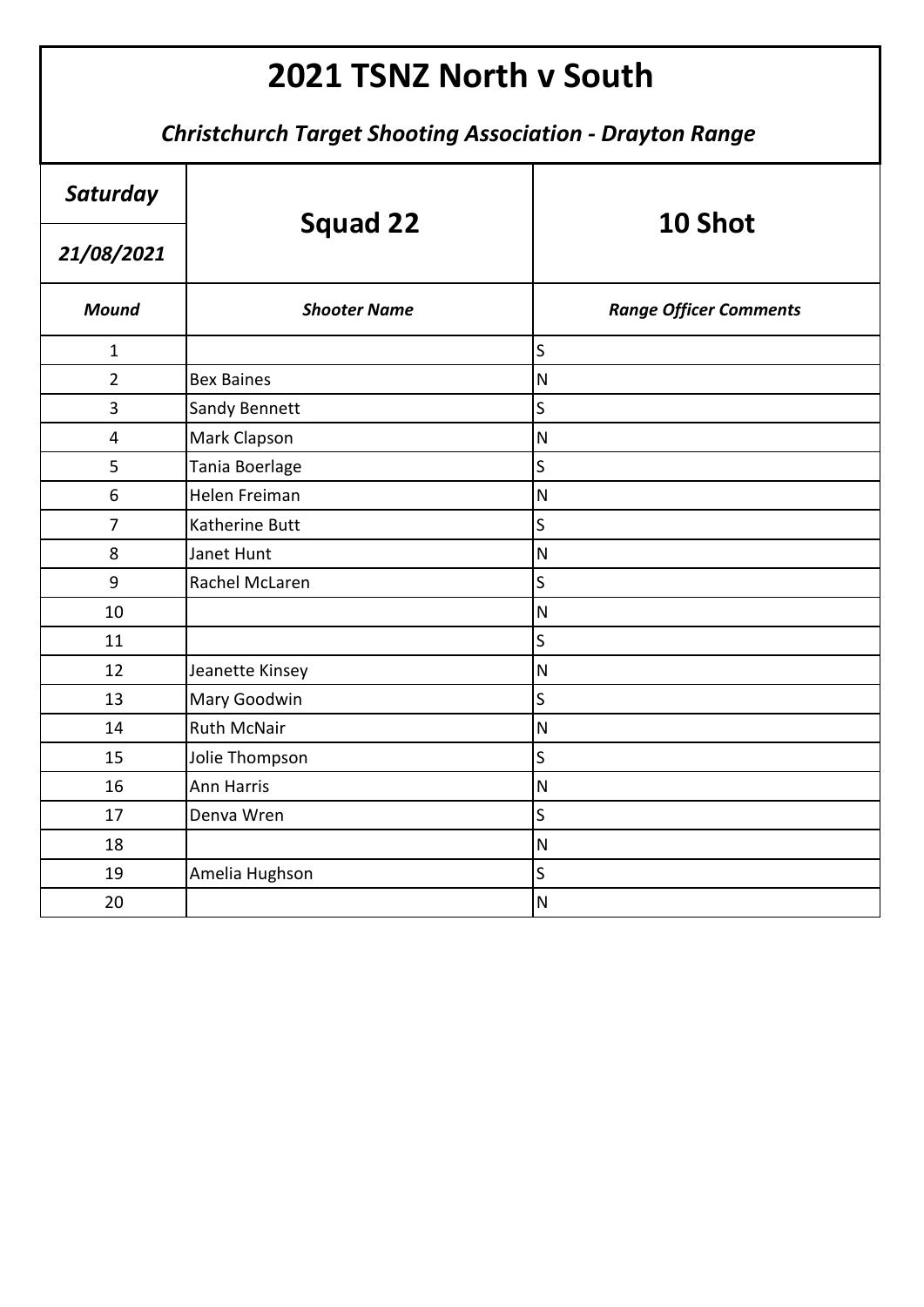| Saturday       | <b>Squad 22</b>     | 10 Shot                       |
|----------------|---------------------|-------------------------------|
| 21/08/2021     |                     |                               |
| <b>Mound</b>   | <b>Shooter Name</b> | <b>Range Officer Comments</b> |
| $\mathbf{1}$   |                     | S                             |
| $\overline{2}$ | <b>Bex Baines</b>   | $\mathsf{N}$                  |
| 3              | Sandy Bennett       | S                             |
| $\overline{4}$ | Mark Clapson        | $\overline{\mathsf{N}}$       |
| 5              | Tania Boerlage      | S                             |
| 6              | Helen Freiman       | $\overline{\mathsf{N}}$       |
| $\overline{7}$ | Katherine Butt      | $\mathsf S$                   |
| 8              | Janet Hunt          | $\overline{\mathsf{N}}$       |
| 9              | Rachel McLaren      | S                             |
| 10             |                     | $\mathsf{N}$                  |
| 11             |                     | S                             |
| 12             | Jeanette Kinsey     | $\overline{\mathsf{N}}$       |
| 13             | Mary Goodwin        | $\overline{\mathsf{S}}$       |
| 14             | <b>Ruth McNair</b>  | $\overline{\mathsf{N}}$       |
| 15             | Jolie Thompson      | $\overline{\mathsf{S}}$       |
| 16             | <b>Ann Harris</b>   | $\overline{\mathsf{N}}$       |
| 17             | Denva Wren          | $\overline{\mathsf{S}}$       |
| 18             |                     | $\overline{\mathsf{N}}$       |
| 19             | Amelia Hughson      | $\overline{\mathsf{S}}$       |
| 20             |                     | $\overline{\mathsf{N}}$       |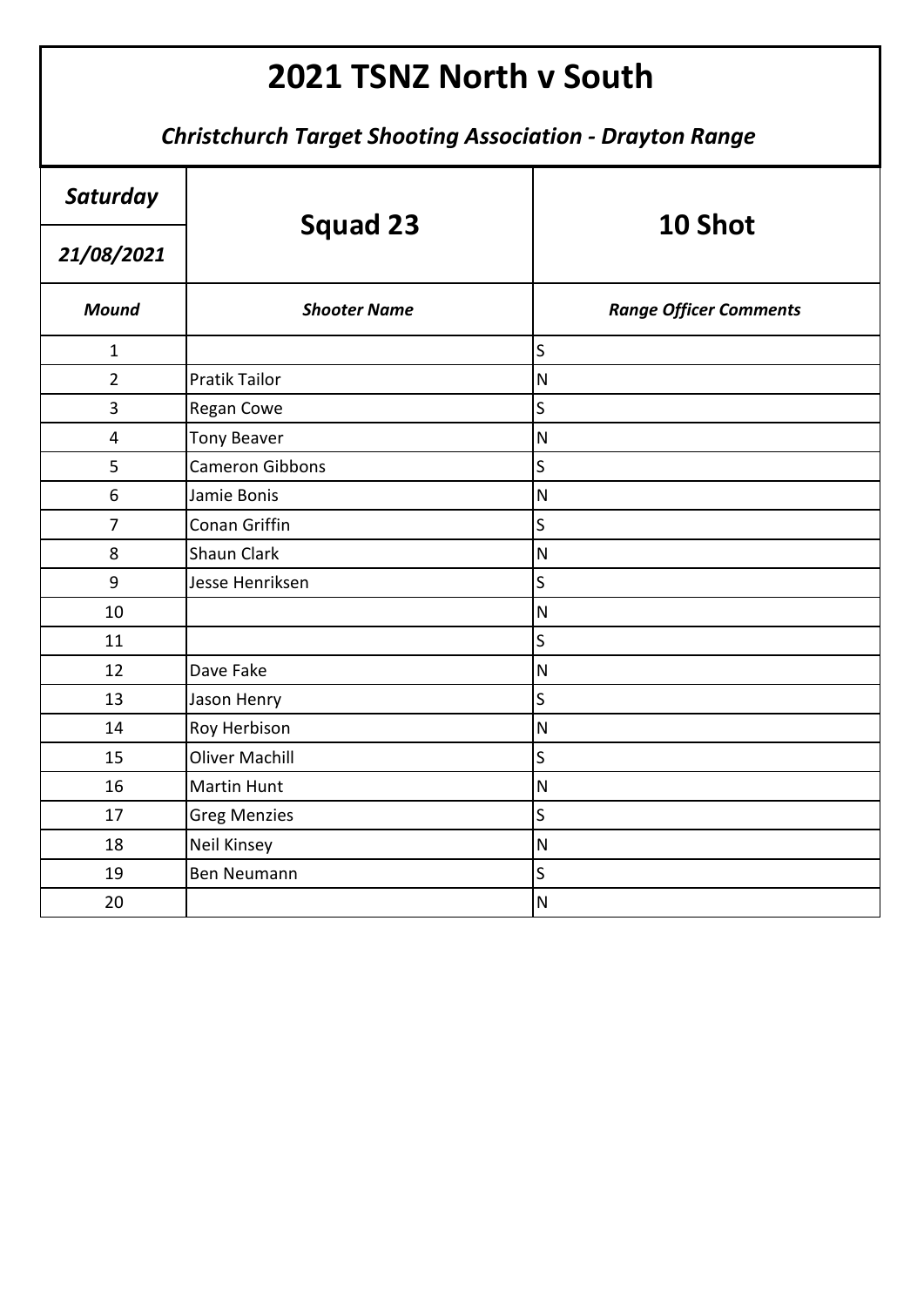| Saturday                | <b>Squad 23</b>        | 10 Shot                       |
|-------------------------|------------------------|-------------------------------|
| 21/08/2021              |                        |                               |
| <b>Mound</b>            | <b>Shooter Name</b>    | <b>Range Officer Comments</b> |
| $\mathbf{1}$            |                        | $\mathsf S$                   |
| $\overline{2}$          | <b>Pratik Tailor</b>   | $\overline{\mathsf{N}}$       |
| 3                       | Regan Cowe             | S                             |
| $\overline{\mathbf{4}}$ | <b>Tony Beaver</b>     | $\overline{\mathsf{N}}$       |
| 5                       | <b>Cameron Gibbons</b> | $\sf S$                       |
| 6                       | Jamie Bonis            | $\overline{\mathsf{N}}$       |
| $\overline{7}$          | Conan Griffin          | S                             |
| 8                       | Shaun Clark            | $\overline{\mathsf{N}}$       |
| 9                       | Jesse Henriksen        | S                             |
| 10                      |                        | $\overline{\mathsf{N}}$       |
| 11                      |                        | S                             |
| 12                      | Dave Fake              | ${\sf N}$                     |
| 13                      | Jason Henry            | $\sf S$                       |
| 14                      | Roy Herbison           | $\overline{\mathsf{N}}$       |
| 15                      | <b>Oliver Machill</b>  | $\sf S$                       |
| 16                      | <b>Martin Hunt</b>     | ${\sf N}$                     |
| 17                      | <b>Greg Menzies</b>    | $\sf S$                       |
| 18                      | <b>Neil Kinsey</b>     | $\overline{\mathsf{N}}$       |
| 19                      | <b>Ben Neumann</b>     | S                             |
| 20                      |                        | $\overline{\mathsf{N}}$       |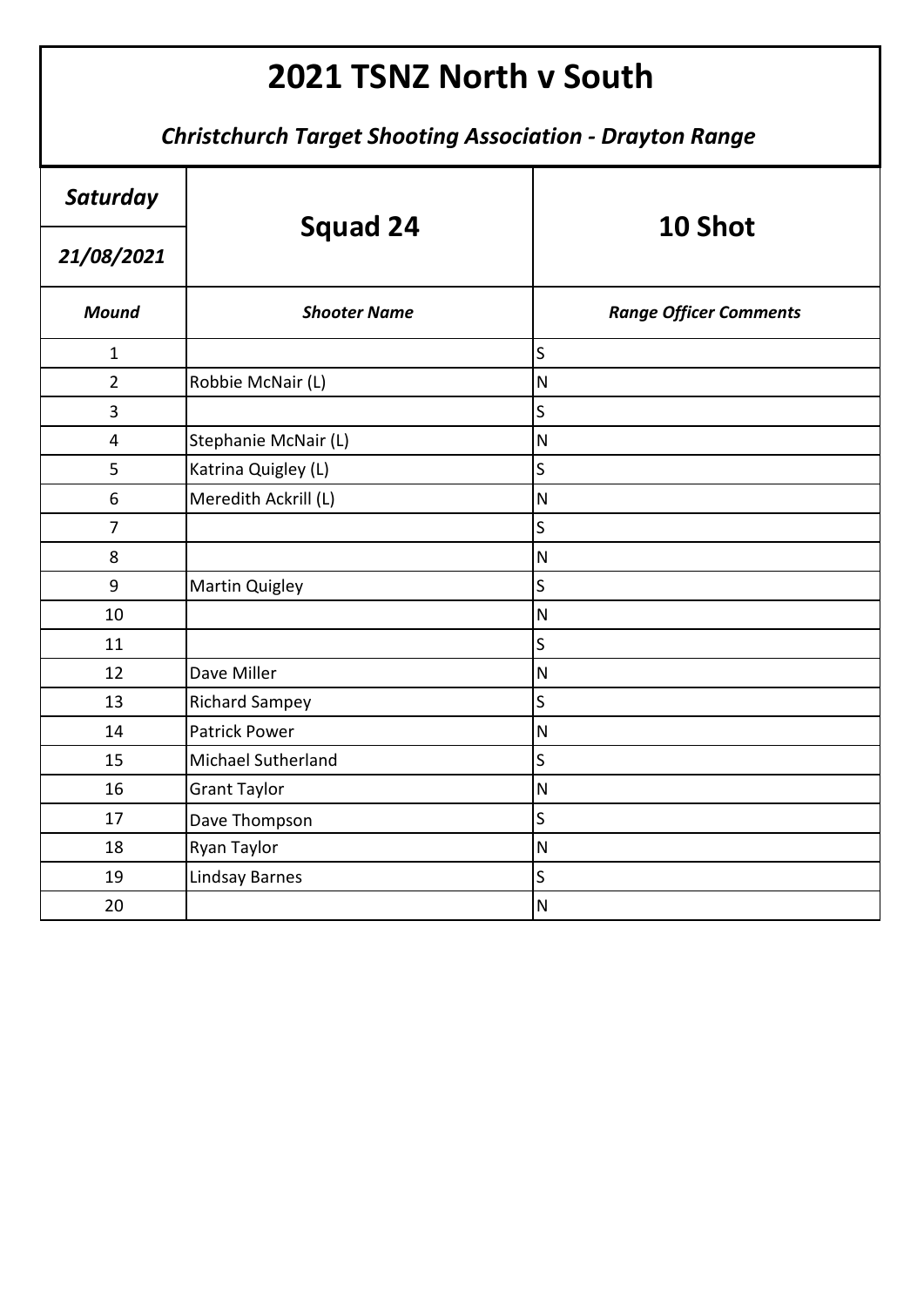| Saturday       |                       | 10 Shot                       |
|----------------|-----------------------|-------------------------------|
| 21/08/2021     | <b>Squad 24</b>       |                               |
| <b>Mound</b>   | <b>Shooter Name</b>   | <b>Range Officer Comments</b> |
| $\mathbf{1}$   |                       | S                             |
| $\overline{2}$ | Robbie McNair (L)     | $\overline{\mathsf{N}}$       |
| 3              |                       | S                             |
| 4              | Stephanie McNair (L)  | $\overline{\mathsf{N}}$       |
| 5              | Katrina Quigley (L)   | $\mathsf S$                   |
| 6              | Meredith Ackrill (L)  | $\overline{\mathsf{N}}$       |
| $\overline{7}$ |                       | $\mathsf{S}$                  |
| 8              |                       | $\overline{N}$                |
| 9              | <b>Martin Quigley</b> | $\overline{\mathsf{s}}$       |
| 10             |                       | $\overline{\mathsf{N}}$       |
| 11             |                       | S                             |
| 12             | Dave Miller           | $\mathsf{N}$                  |
| 13             | <b>Richard Sampey</b> | S                             |
| 14             | <b>Patrick Power</b>  | $\overline{\mathsf{N}}$       |
| 15             | Michael Sutherland    | S                             |
| 16             | <b>Grant Taylor</b>   | $\mathsf{N}$                  |
| 17             | Dave Thompson         | $\overline{\mathsf{S}}$       |
| 18             | Ryan Taylor           | ${\sf N}$                     |
| 19             | <b>Lindsay Barnes</b> | $\mathsf{S}$                  |
| 20             |                       | ${\sf N}$                     |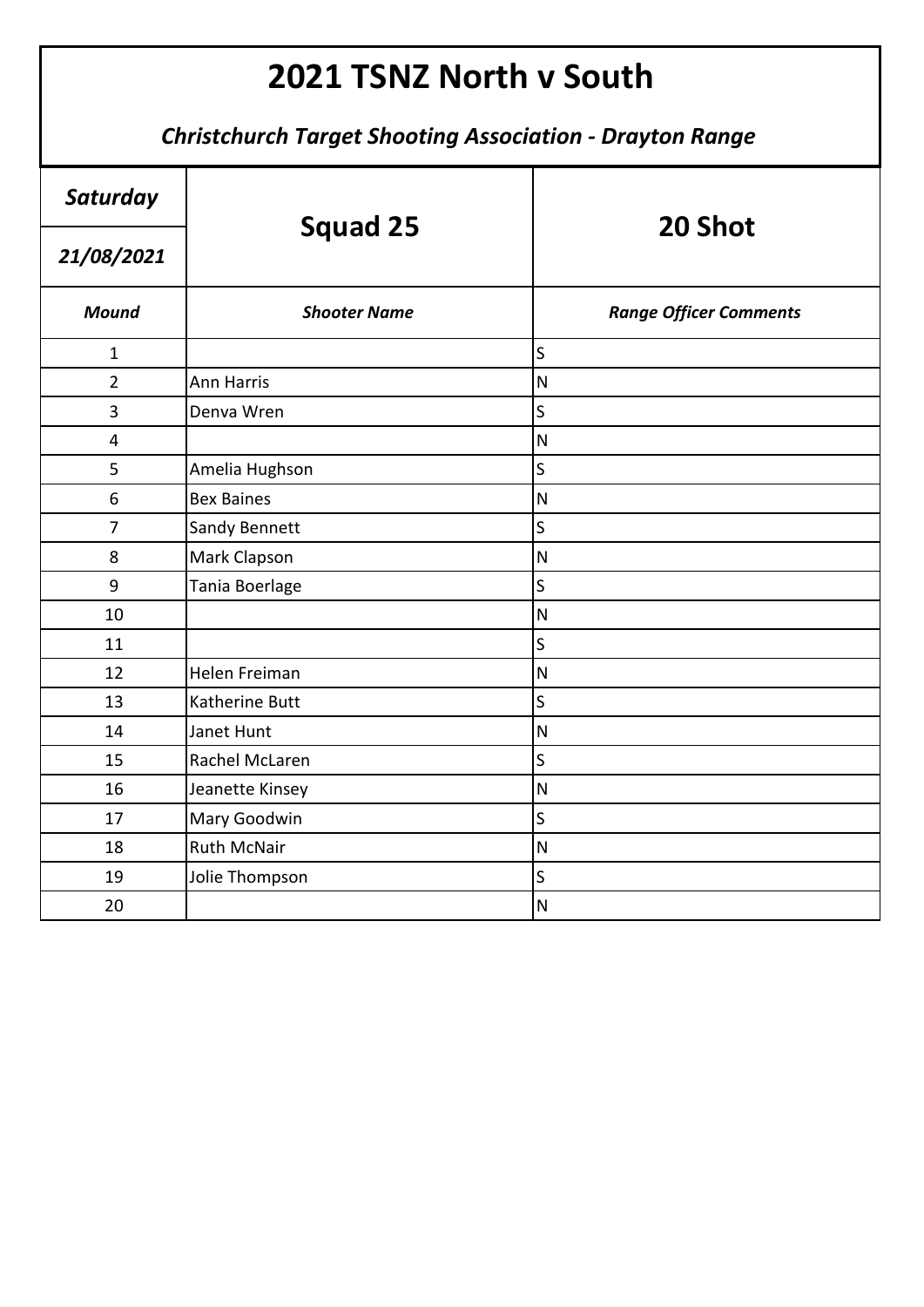| Saturday       | Squad 25            | 20 Shot                       |
|----------------|---------------------|-------------------------------|
| 21/08/2021     |                     |                               |
| <b>Mound</b>   | <b>Shooter Name</b> | <b>Range Officer Comments</b> |
| $\mathbf{1}$   |                     | $\overline{\mathsf{S}}$       |
| $\overline{2}$ | Ann Harris          | ${\sf N}$                     |
| 3              | Denva Wren          | $\overline{\mathsf{S}}$       |
| 4              |                     | $\mathsf{N}$                  |
| 5              | Amelia Hughson      | $\overline{\mathsf{S}}$       |
| 6              | <b>Bex Baines</b>   | ${\sf N}$                     |
| $\overline{7}$ | Sandy Bennett       | $\overline{\mathsf{S}}$       |
| 8              | Mark Clapson        | $\overline{N}$                |
| 9              | Tania Boerlage      | $\overline{\mathsf{S}}$       |
| 10             |                     | N                             |
| 11             |                     | S                             |
| 12             | Helen Freiman       | ${\sf N}$                     |
| 13             | Katherine Butt      | S                             |
| 14             | Janet Hunt          | $\mathsf{N}$                  |
| 15             | Rachel McLaren      | $\overline{\mathsf{S}}$       |
| 16             | Jeanette Kinsey     | $\mathsf{N}$                  |
| 17             | Mary Goodwin        | $\mathsf S$                   |
| 18             | <b>Ruth McNair</b>  | $\mathsf{N}$                  |
| 19             | Jolie Thompson      | S                             |
| 20             |                     | $\mathsf{N}$                  |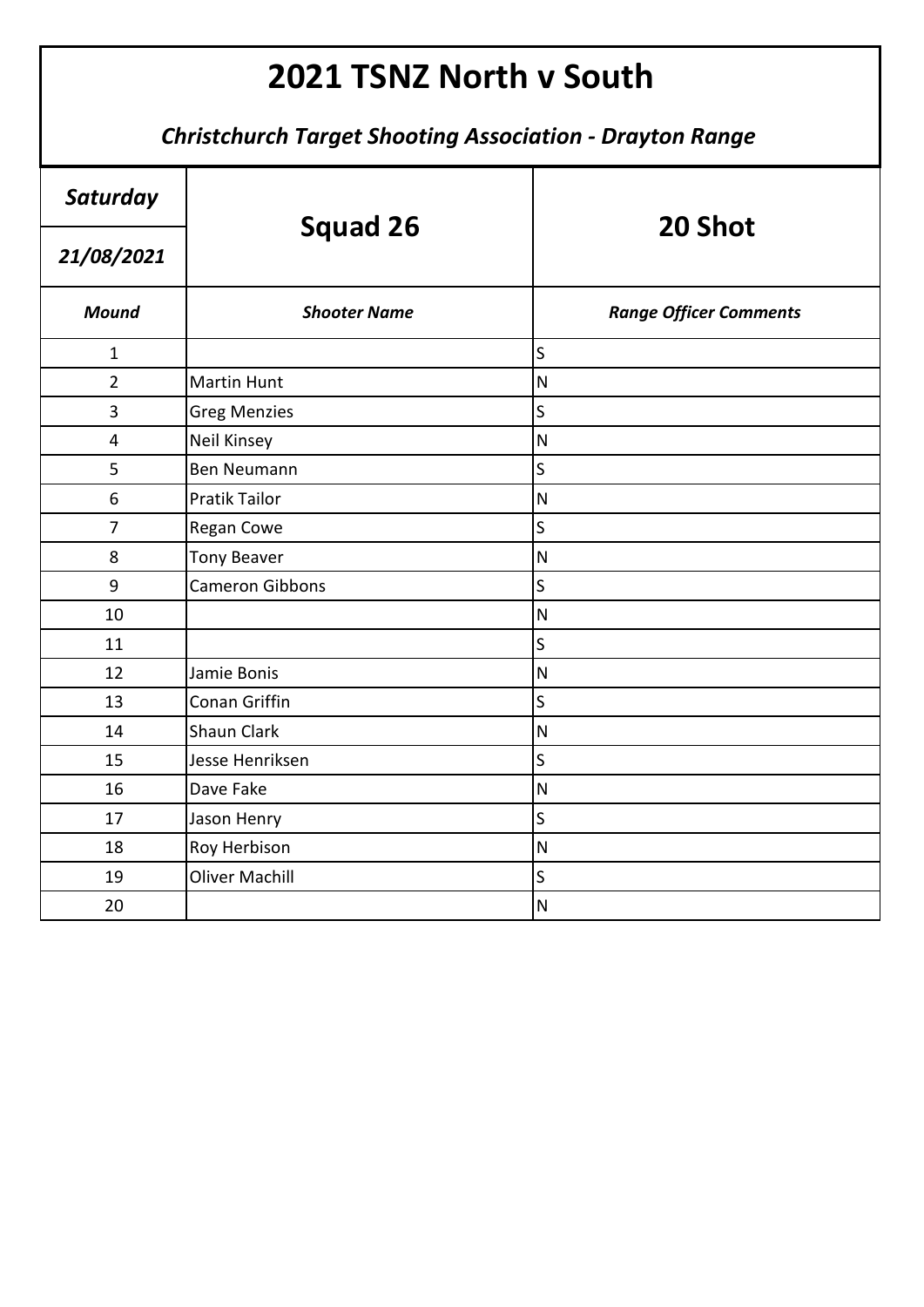| Saturday       | <b>Squad 26</b>        | 20 Shot                       |
|----------------|------------------------|-------------------------------|
| 21/08/2021     |                        |                               |
| <b>Mound</b>   | <b>Shooter Name</b>    | <b>Range Officer Comments</b> |
| $\mathbf{1}$   |                        | $\mathsf{S}$                  |
| $\overline{2}$ | <b>Martin Hunt</b>     | $\overline{\mathsf{N}}$       |
| 3              | <b>Greg Menzies</b>    | $\mathsf S$                   |
| 4              | <b>Neil Kinsey</b>     | $\overline{\mathsf{N}}$       |
| 5              | Ben Neumann            | $\overline{\mathsf{S}}$       |
| 6              | <b>Pratik Tailor</b>   | ${\sf N}$                     |
| $\overline{7}$ | Regan Cowe             | $\overline{\mathsf{S}}$       |
| 8              | <b>Tony Beaver</b>     | $\overline{\mathsf{N}}$       |
| 9              | <b>Cameron Gibbons</b> | $\mathsf{S}$                  |
| 10             |                        | $\overline{\mathsf{N}}$       |
| 11             |                        | $\sf S$                       |
| 12             | Jamie Bonis            | $\mathsf{N}$                  |
| 13             | Conan Griffin          | $\sf S$                       |
| 14             | Shaun Clark            | $\overline{\mathsf{N}}$       |
| 15             | Jesse Henriksen        | S                             |
| 16             | Dave Fake              | $\overline{\mathsf{N}}$       |
| 17             | Jason Henry            | $\sf S$                       |
| 18             | Roy Herbison           | $\overline{\mathsf{N}}$       |
| 19             | <b>Oliver Machill</b>  | S                             |
| 20             |                        | ${\sf N}$                     |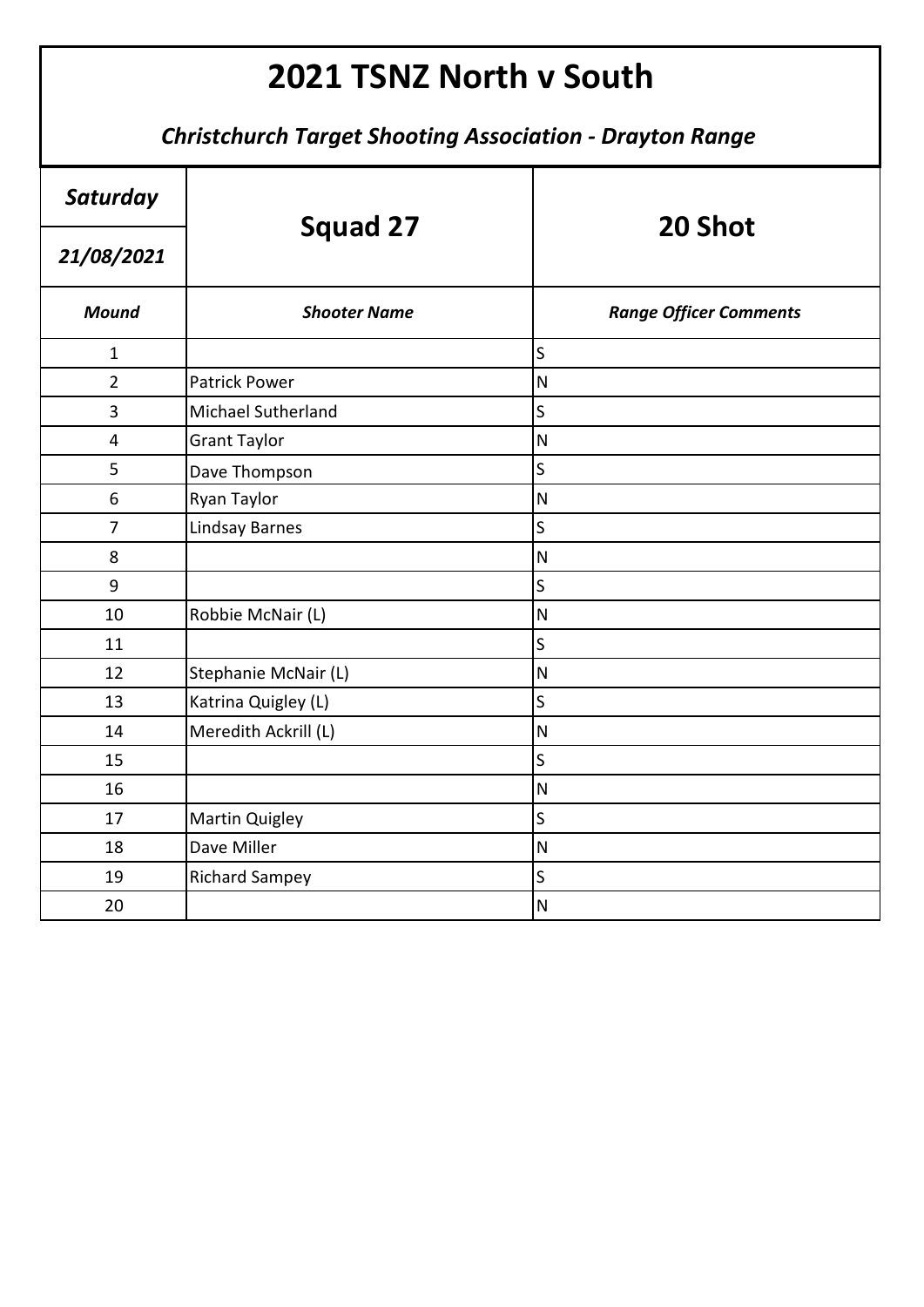| Saturday       | Squad 27              | 20 Shot                       |
|----------------|-----------------------|-------------------------------|
| 21/08/2021     |                       |                               |
| <b>Mound</b>   | <b>Shooter Name</b>   | <b>Range Officer Comments</b> |
| $\mathbf{1}$   |                       | S                             |
| $\overline{2}$ | <b>Patrick Power</b>  | $\overline{\mathsf{N}}$       |
| 3              | Michael Sutherland    | S                             |
| $\overline{4}$ | <b>Grant Taylor</b>   | $\overline{\mathsf{N}}$       |
| 5              | Dave Thompson         | $\sf S$                       |
| 6              | Ryan Taylor           | $\overline{\mathsf{N}}$       |
| $\overline{7}$ | <b>Lindsay Barnes</b> | $\overline{\mathsf{S}}$       |
| 8              |                       | $\overline{\mathsf{N}}$       |
| 9              |                       | $\mathsf{S}$                  |
| 10             | Robbie McNair (L)     | $\overline{\mathsf{N}}$       |
| 11             |                       | S                             |
| 12             | Stephanie McNair (L)  | $\overline{\mathsf{N}}$       |
| 13             | Katrina Quigley (L)   | S                             |
| 14             | Meredith Ackrill (L)  | $\overline{\mathsf{N}}$       |
| 15             |                       | S                             |
| 16             |                       | $\overline{\mathsf{N}}$       |
| 17             | <b>Martin Quigley</b> | $\mathsf S$                   |
| 18             | Dave Miller           | $\overline{\mathsf{N}}$       |
| 19             | <b>Richard Sampey</b> | S                             |
| 20             |                       | $\overline{\mathsf{N}}$       |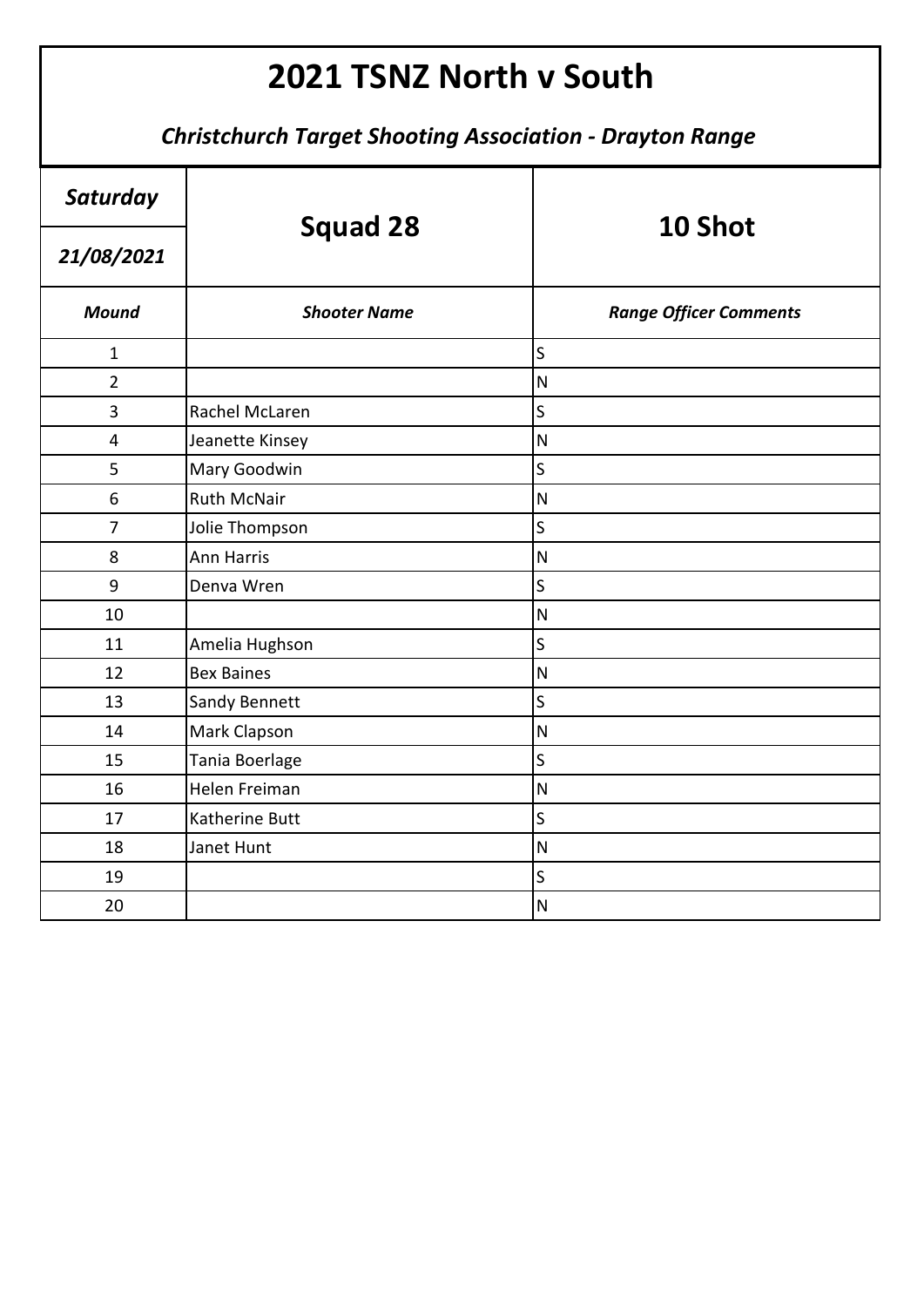| Saturday       | <b>Squad 28</b>      | 10 Shot                       |
|----------------|----------------------|-------------------------------|
| 21/08/2021     |                      |                               |
| <b>Mound</b>   | <b>Shooter Name</b>  | <b>Range Officer Comments</b> |
| $\mathbf{1}$   |                      | S                             |
| $\overline{2}$ |                      | $\overline{\mathsf{N}}$       |
| 3              | Rachel McLaren       | $\overline{\mathsf{S}}$       |
| 4              | Jeanette Kinsey      | $\mathsf{N}$                  |
| 5              | Mary Goodwin         | $\mathsf S$                   |
| 6              | <b>Ruth McNair</b>   | $\overline{\mathsf{N}}$       |
| $\overline{7}$ | Jolie Thompson       | $\mathsf{S}$                  |
| 8              | <b>Ann Harris</b>    | $\overline{\mathsf{N}}$       |
| 9              | Denva Wren           | $\mathsf S$                   |
| 10             |                      | $\overline{\mathsf{N}}$       |
| 11             | Amelia Hughson       | $\mathsf S$                   |
| 12             | <b>Bex Baines</b>    | $\overline{\mathsf{N}}$       |
| 13             | <b>Sandy Bennett</b> | S                             |
| 14             | Mark Clapson         | $\overline{\mathsf{N}}$       |
| 15             | Tania Boerlage       | S                             |
| 16             | Helen Freiman        | ${\sf N}$                     |
| 17             | Katherine Butt       | $\sf S$                       |
| 18             | Janet Hunt           | $\overline{\mathsf{N}}$       |
| 19             |                      | S                             |
| 20             |                      | ${\sf N}$                     |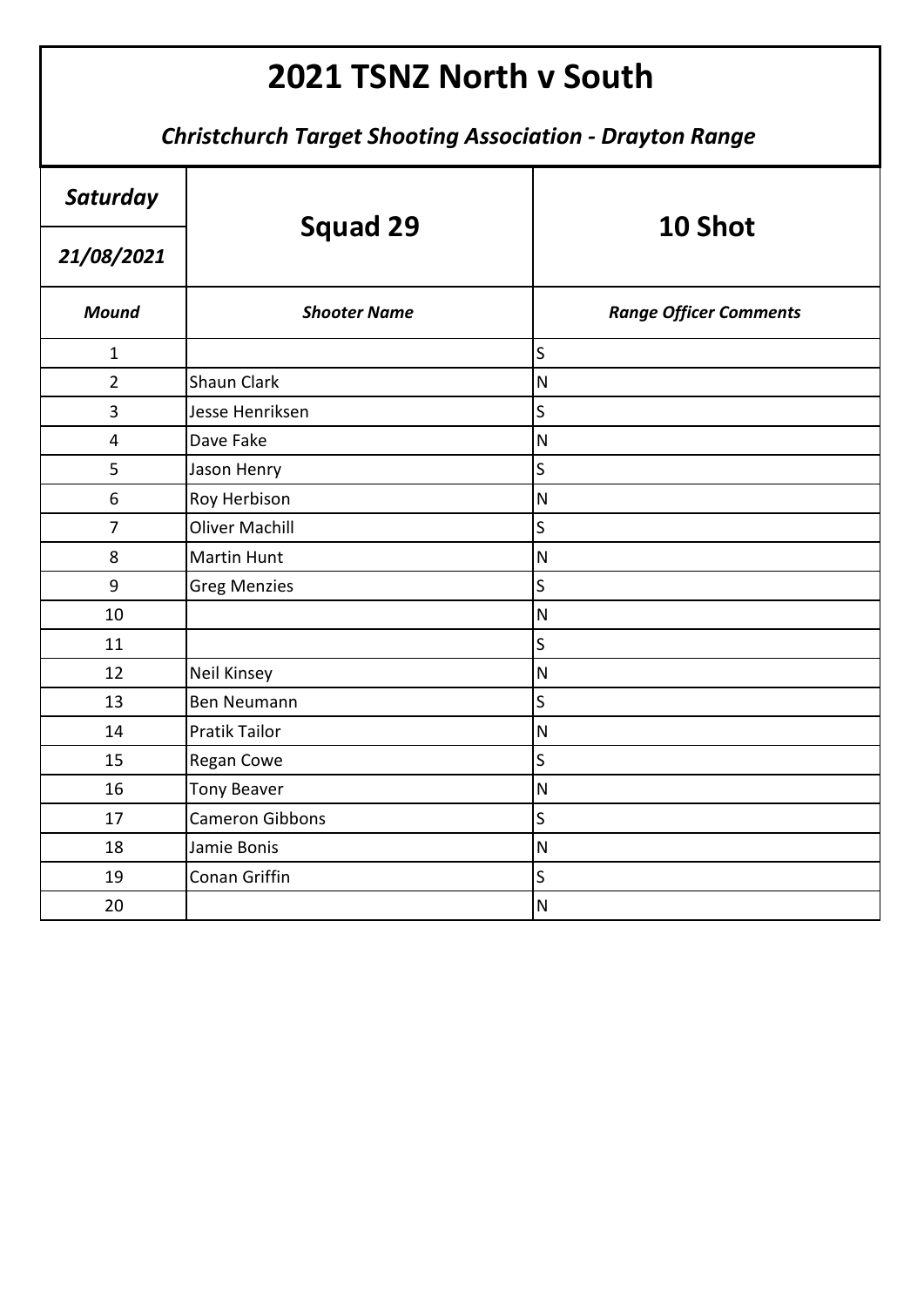| Saturday       | <b>Squad 29</b>        | 10 Shot                       |
|----------------|------------------------|-------------------------------|
| 21/08/2021     |                        |                               |
| <b>Mound</b>   | <b>Shooter Name</b>    | <b>Range Officer Comments</b> |
| $\mathbf{1}$   |                        | $\overline{\mathsf{S}}$       |
| $\overline{2}$ | <b>Shaun Clark</b>     | ${\sf N}$                     |
| 3              | Jesse Henriksen        | $\overline{\mathsf{S}}$       |
| 4              | Dave Fake              | $\mathsf{N}$                  |
| 5              | Jason Henry            | $\mathsf{S}$                  |
| 6              | Roy Herbison           | ${\sf N}$                     |
| $\overline{7}$ | <b>Oliver Machill</b>  | $\overline{\mathsf{S}}$       |
| 8              | <b>Martin Hunt</b>     | $\mathsf{N}$                  |
| 9              | <b>Greg Menzies</b>    | $\mathsf{S}$                  |
| 10             |                        | N                             |
| 11             |                        | S                             |
| 12             | <b>Neil Kinsey</b>     | $\overline{\mathsf{N}}$       |
| 13             | <b>Ben Neumann</b>     | S                             |
| 14             | <b>Pratik Tailor</b>   | $\mathsf{N}$                  |
| 15             | Regan Cowe             | $\overline{\mathsf{S}}$       |
| 16             | <b>Tony Beaver</b>     | $\mathsf{N}$                  |
| 17             | <b>Cameron Gibbons</b> | $\mathsf S$                   |
| 18             | Jamie Bonis            | $\mathsf{N}$                  |
| 19             | Conan Griffin          | S                             |
| 20             |                        | $\mathsf{N}$                  |